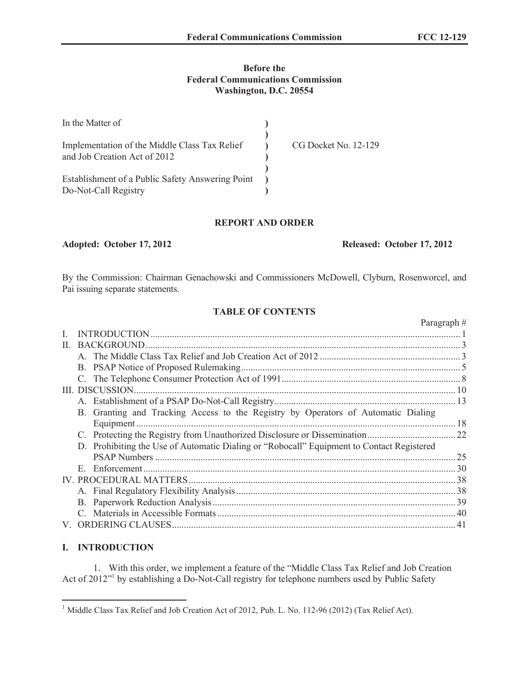## **Before the Federal Communications Commission Washington, D.C. 20554**

| In the Matter of                                                              |                      |
|-------------------------------------------------------------------------------|----------------------|
| Implementation of the Middle Class Tax Relief<br>and Job Creation Act of 2012 | CG Docket No. 12-129 |
| Establishment of a Public Safety Answering Point<br>Do-Not-Call Registry      |                      |

## **REPORT AND ORDER**

**Adopted: October 17, 2012 Released: October 17, 2012**

By the Commission: Chairman Genachowski and Commissioners McDowell, Clyburn, Rosenworcel, and Pai issuing separate statements.

# **TABLE OF CONTENTS**

|              |                                                                                              | Paragraph# |
|--------------|----------------------------------------------------------------------------------------------|------------|
|              |                                                                                              |            |
| $\mathbf{H}$ |                                                                                              |            |
|              |                                                                                              |            |
|              |                                                                                              |            |
|              |                                                                                              |            |
|              |                                                                                              |            |
|              |                                                                                              |            |
|              | B. Granting and Tracking Access to the Registry by Operators of Automatic Dialing            |            |
|              |                                                                                              |            |
|              |                                                                                              |            |
|              | Prohibiting the Use of Automatic Dialing or "Robocall" Equipment to Contact Registered<br>D. |            |
|              |                                                                                              | .25        |
|              | E.                                                                                           |            |
|              |                                                                                              |            |
|              |                                                                                              |            |
|              |                                                                                              |            |
|              |                                                                                              |            |
|              |                                                                                              |            |

## **I. INTRODUCTION**

1. With this order, we implement a feature of the "Middle Class Tax Relief and Job Creation Act of 2012<sup>"1</sup> by establishing a Do-Not-Call registry for telephone numbers used by Public Safety

<sup>&</sup>lt;sup>1</sup> Middle Class Tax Relief and Job Creation Act of 2012, Pub. L. No. 112-96 (2012) (Tax Relief Act).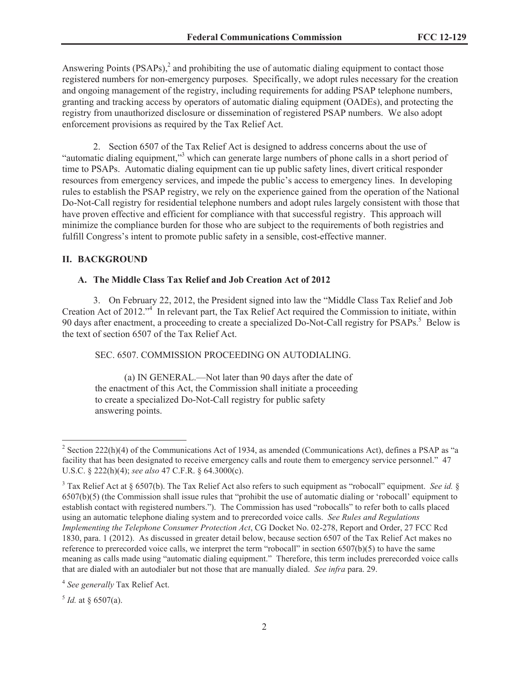Answering Points  $(PSAPs)<sup>2</sup>$  and prohibiting the use of automatic dialing equipment to contact those registered numbers for non-emergency purposes. Specifically, we adopt rules necessary for the creation and ongoing management of the registry, including requirements for adding PSAP telephone numbers, granting and tracking access by operators of automatic dialing equipment (OADEs), and protecting the registry from unauthorized disclosure or dissemination of registered PSAP numbers. We also adopt enforcement provisions as required by the Tax Relief Act.

2. Section 6507 of the Tax Relief Act is designed to address concerns about the use of "automatic dialing equipment,"<sup>3</sup> which can generate large numbers of phone calls in a short period of time to PSAPs. Automatic dialing equipment can tie up public safety lines, divert critical responder resources from emergency services, and impede the public's access to emergency lines. In developing rules to establish the PSAP registry, we rely on the experience gained from the operation of the National Do-Not-Call registry for residential telephone numbers and adopt rules largely consistent with those that have proven effective and efficient for compliance with that successful registry. This approach will minimize the compliance burden for those who are subject to the requirements of both registries and fulfill Congress's intent to promote public safety in a sensible, cost-effective manner.

#### **II. BACKGROUND**

## **A. The Middle Class Tax Relief and Job Creation Act of 2012**

3. On February 22, 2012, the President signed into law the "Middle Class Tax Relief and Job Creation Act of 2012."<sup>4</sup> In relevant part, the Tax Relief Act required the Commission to initiate, within 90 days after enactment, a proceeding to create a specialized Do-Not-Call registry for PSAPs.<sup>5</sup> Below is the text of section 6507 of the Tax Relief Act.

SEC. 6507. COMMISSION PROCEEDING ON AUTODIALING.

(a) IN GENERAL.—Not later than 90 days after the date of the enactment of this Act, the Commission shall initiate a proceeding to create a specialized Do-Not-Call registry for public safety answering points.

 $<sup>5</sup>$  *Id.* at § 6507(a).</sup>

<sup>&</sup>lt;sup>2</sup> Section 222(h)(4) of the Communications Act of 1934, as amended (Communications Act), defines a PSAP as "a facility that has been designated to receive emergency calls and route them to emergency service personnel." 47 U.S.C. § 222(h)(4); *see also* 47 C.F.R. § 64.3000(c).

<sup>&</sup>lt;sup>3</sup> Tax Relief Act at § 6507(b). The Tax Relief Act also refers to such equipment as "robocall" equipment. *See id.* § 6507(b)(5) (the Commission shall issue rules that "prohibit the use of automatic dialing or 'robocall' equipment to establish contact with registered numbers."). The Commission has used "robocalls" to refer both to calls placed using an automatic telephone dialing system and to prerecorded voice calls. *See Rules and Regulations Implementing the Telephone Consumer Protection Act*, CG Docket No. 02-278, Report and Order, 27 FCC Rcd 1830, para. 1 (2012). As discussed in greater detail below, because section 6507 of the Tax Relief Act makes no reference to prerecorded voice calls, we interpret the term "robocall" in section 6507(b)(5) to have the same meaning as calls made using "automatic dialing equipment." Therefore, this term includes prerecorded voice calls that are dialed with an autodialer but not those that are manually dialed. *See infra* para. 29.

<sup>4</sup> *See generally* Tax Relief Act.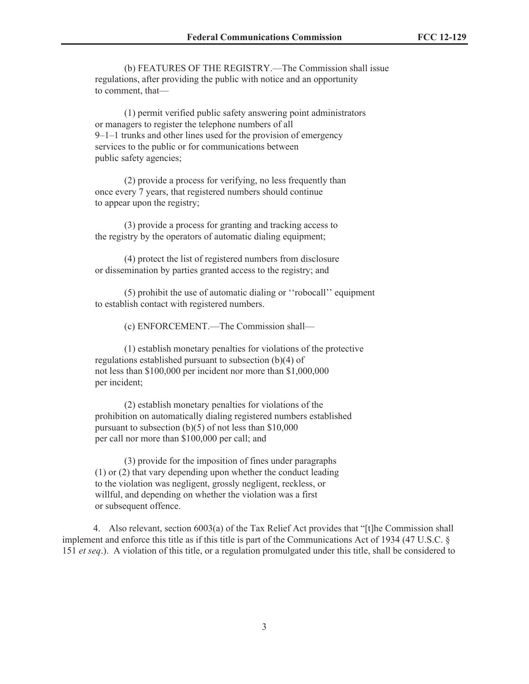(b) FEATURES OF THE REGISTRY.—The Commission shall issue regulations, after providing the public with notice and an opportunity to comment, that—

(1) permit verified public safety answering point administrators or managers to register the telephone numbers of all 9–1–1 trunks and other lines used for the provision of emergency services to the public or for communications between public safety agencies;

(2) provide a process for verifying, no less frequently than once every 7 years, that registered numbers should continue to appear upon the registry;

(3) provide a process for granting and tracking access to the registry by the operators of automatic dialing equipment;

(4) protect the list of registered numbers from disclosure or dissemination by parties granted access to the registry; and

(5) prohibit the use of automatic dialing or ''robocall'' equipment to establish contact with registered numbers.

(c) ENFORCEMENT.—The Commission shall—

(1) establish monetary penalties for violations of the protective regulations established pursuant to subsection (b)(4) of not less than \$100,000 per incident nor more than \$1,000,000 per incident;

(2) establish monetary penalties for violations of the prohibition on automatically dialing registered numbers established pursuant to subsection (b)(5) of not less than \$10,000 per call nor more than \$100,000 per call; and

(3) provide for the imposition of fines under paragraphs (1) or (2) that vary depending upon whether the conduct leading to the violation was negligent, grossly negligent, reckless, or willful, and depending on whether the violation was a first or subsequent offence.

4. Also relevant, section 6003(a) of the Tax Relief Act provides that "[t]he Commission shall implement and enforce this title as if this title is part of the Communications Act of 1934 (47 U.S.C. § 151 *et seq*.). A violation of this title, or a regulation promulgated under this title, shall be considered to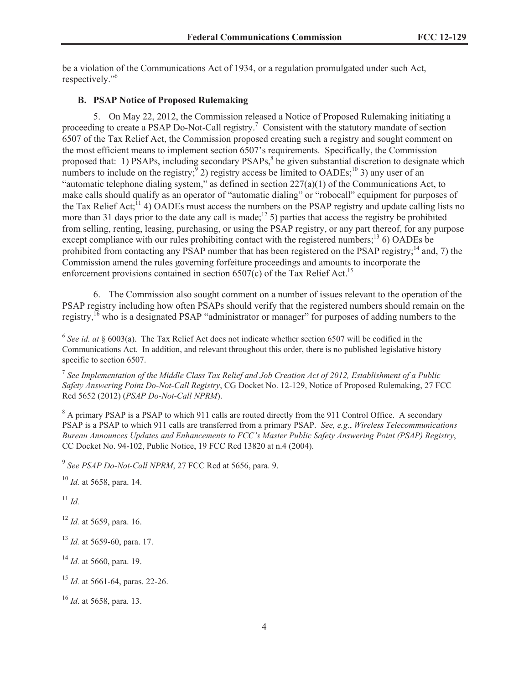be a violation of the Communications Act of 1934, or a regulation promulgated under such Act, respectively."<sup>6</sup>

## **B. PSAP Notice of Proposed Rulemaking**

5. On May 22, 2012, the Commission released a Notice of Proposed Rulemaking initiating a proceeding to create a PSAP Do-Not-Call registry.<sup>7</sup> Consistent with the statutory mandate of section 6507 of the Tax Relief Act, the Commission proposed creating such a registry and sought comment on the most efficient means to implement section 6507's requirements. Specifically, the Commission proposed that: 1) PSAPs, including secondary PSAPs,<sup>8</sup> be given substantial discretion to designate which numbers to include on the registry;  $9$ ) registry access be limited to OADEs;  $10$  3) any user of an "automatic telephone dialing system," as defined in section  $227(a)(1)$  of the Communications Act, to make calls should qualify as an operator of "automatic dialing" or "robocall" equipment for purposes of the Tax Relief Act;<sup>11</sup> 4) OADEs must access the numbers on the PSAP registry and update calling lists no more than 31 days prior to the date any call is made;<sup>12</sup> 5) parties that access the registry be prohibited from selling, renting, leasing, purchasing, or using the PSAP registry, or any part thereof, for any purpose except compliance with our rules prohibiting contact with the registered numbers;<sup>13</sup> 6) OADEs be prohibited from contacting any PSAP number that has been registered on the PSAP registry;<sup>14</sup> and, 7) the Commission amend the rules governing forfeiture proceedings and amounts to incorporate the enforcement provisions contained in section  $6507(c)$  of the Tax Relief Act.<sup>15</sup>

6. The Commission also sought comment on a number of issues relevant to the operation of the PSAP registry including how often PSAPs should verify that the registered numbers should remain on the registry.<sup>16</sup> who is a designated PSAP "administrator or manager" for purposes of adding numbers to the

<sup>8</sup> A primary PSAP is a PSAP to which 911 calls are routed directly from the 911 Control Office. A secondary PSAP is a PSAP to which 911 calls are transferred from a primary PSAP. *See, e.g.*, *Wireless Telecommunications Bureau Announces Updates and Enhancements to FCC's Master Public Safety Answering Point (PSAP) Registry*, CC Docket No. 94-102, Public Notice, 19 FCC Rcd 13820 at n.4 (2004).

9 *See PSAP Do-Not-Call NPRM*, 27 FCC Rcd at 5656, para. 9.

<sup>10</sup> *Id.* at 5658, para. 14.

<sup>11</sup> *Id.*

<sup>12</sup> *Id.* at 5659, para. 16.

<sup>13</sup> *Id.* at 5659-60, para. 17.

<sup>14</sup> *Id.* at 5660, para. 19.

<sup>15</sup> *Id.* at 5661-64, paras. 22-26.

<sup>16</sup> *Id*. at 5658, para. 13.

<sup>&</sup>lt;sup>6</sup> See id. at § 6003(a). The Tax Relief Act does not indicate whether section 6507 will be codified in the Communications Act. In addition, and relevant throughout this order, there is no published legislative history specific to section 6507.

<sup>7</sup> *See Implementation of the Middle Class Tax Relief and Job Creation Act of 2012, Establishment of a Public Safety Answering Point Do-Not-Call Registry*, CG Docket No. 12-129, Notice of Proposed Rulemaking, 27 FCC Rcd 5652 (2012) (*PSAP Do-Not-Call NPRM*).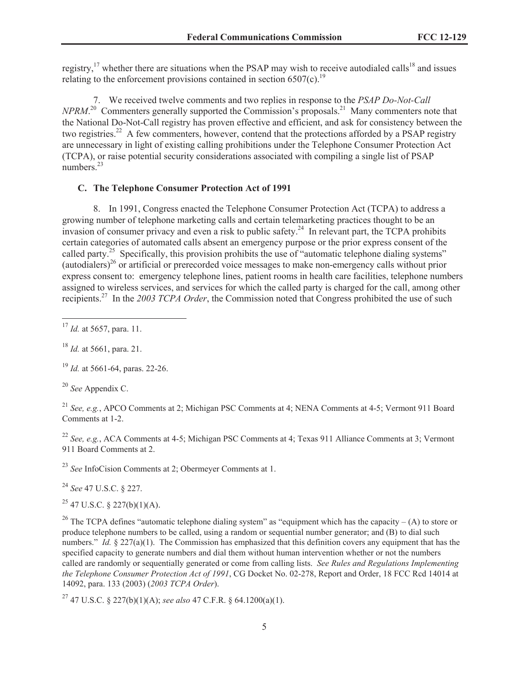registry,<sup>17</sup> whether there are situations when the PSAP may wish to receive autodialed calls<sup>18</sup> and issues relating to the enforcement provisions contained in section  $6507(c)$ .<sup>19</sup>

7. We received twelve comments and two replies in response to the *PSAP Do-Not-Call NPRM*.<sup>20</sup> Commenters generally supported the Commission's proposals.<sup>21</sup> Many commenters note that the National Do-Not-Call registry has proven effective and efficient, and ask for consistency between the two registries.<sup>22</sup> A few commenters, however, contend that the protections afforded by a PSAP registry are unnecessary in light of existing calling prohibitions under the Telephone Consumer Protection Act (TCPA), or raise potential security considerations associated with compiling a single list of PSAP numbers.<sup>23</sup>

## **C. The Telephone Consumer Protection Act of 1991**

8. In 1991, Congress enacted the Telephone Consumer Protection Act (TCPA) to address a growing number of telephone marketing calls and certain telemarketing practices thought to be an invasion of consumer privacy and even a risk to public safety.<sup>24</sup> In relevant part, the TCPA prohibits certain categories of automated calls absent an emergency purpose or the prior express consent of the called party.<sup>25</sup> Specifically, this provision prohibits the use of "automatic telephone dialing systems" (autodialers)<sup>26</sup> or artificial or prerecorded voice messages to make non-emergency calls without prior express consent to: emergency telephone lines, patient rooms in health care facilities, telephone numbers assigned to wireless services, and services for which the called party is charged for the call, among other recipients.<sup>27</sup> In the *2003 TCPA Order*, the Commission noted that Congress prohibited the use of such

<sup>17</sup> *Id.* at 5657, para. 11.

<sup>18</sup> *Id.* at 5661, para. 21.

<sup>19</sup> *Id.* at 5661-64, paras. 22-26.

<sup>20</sup> *See* Appendix C.

<sup>21</sup> *See, e.g.*, APCO Comments at 2; Michigan PSC Comments at 4; NENA Comments at 4-5; Vermont 911 Board Comments at 1-2.

<sup>22</sup> *See, e.g.*, ACA Comments at 4-5; Michigan PSC Comments at 4; Texas 911 Alliance Comments at 3; Vermont 911 Board Comments at 2.

<sup>23</sup> *See* InfoCision Comments at 2; Obermeyer Comments at 1.

<sup>24</sup> *See* 47 U.S.C. § 227.

 $^{25}$  47 U.S.C. § 227(b)(1)(A).

<sup>26</sup> The TCPA defines "automatic telephone dialing system" as "equipment which has the capacity – (A) to store or produce telephone numbers to be called, using a random or sequential number generator; and (B) to dial such numbers." *Id.* § 227(a)(1). The Commission has emphasized that this definition covers any equipment that has the specified capacity to generate numbers and dial them without human intervention whether or not the numbers called are randomly or sequentially generated or come from calling lists. *See Rules and Regulations Implementing the Telephone Consumer Protection Act of 1991*, CG Docket No. 02-278, Report and Order, 18 FCC Rcd 14014 at 14092, para. 133 (2003) (*2003 TCPA Order*).

<sup>27</sup> 47 U.S.C. § 227(b)(1)(A); *see also* 47 C.F.R. § 64.1200(a)(1).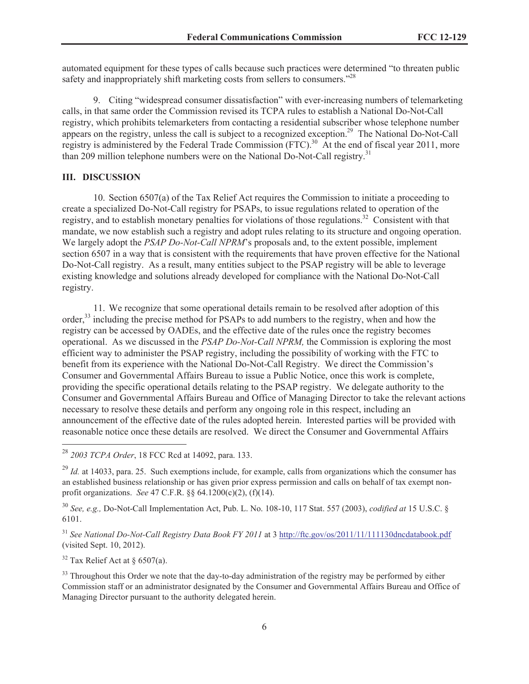automated equipment for these types of calls because such practices were determined "to threaten public safety and inappropriately shift marketing costs from sellers to consumers."<sup>28</sup>

9. Citing "widespread consumer dissatisfaction" with ever-increasing numbers of telemarketing calls, in that same order the Commission revised its TCPA rules to establish a National Do-Not-Call registry, which prohibits telemarketers from contacting a residential subscriber whose telephone number appears on the registry, unless the call is subject to a recognized exception.<sup>29</sup> The National Do-Not-Call registry is administered by the Federal Trade Commission (FTC).<sup>30</sup> At the end of fiscal year 2011, more than 209 million telephone numbers were on the National Do-Not-Call registry.<sup>31</sup>

## **III. DISCUSSION**

10. Section 6507(a) of the Tax Relief Act requires the Commission to initiate a proceeding to create a specialized Do-Not-Call registry for PSAPs, to issue regulations related to operation of the registry, and to establish monetary penalties for violations of those regulations.<sup>32</sup> Consistent with that mandate, we now establish such a registry and adopt rules relating to its structure and ongoing operation. We largely adopt the *PSAP Do-Not-Call NPRM*'s proposals and, to the extent possible, implement section 6507 in a way that is consistent with the requirements that have proven effective for the National Do-Not-Call registry. As a result, many entities subject to the PSAP registry will be able to leverage existing knowledge and solutions already developed for compliance with the National Do-Not-Call registry.

11. We recognize that some operational details remain to be resolved after adoption of this order,<sup>33</sup> including the precise method for PSAPs to add numbers to the registry, when and how the registry can be accessed by OADEs, and the effective date of the rules once the registry becomes operational. As we discussed in the *PSAP Do-Not-Call NPRM,* the Commission is exploring the most efficient way to administer the PSAP registry, including the possibility of working with the FTC to benefit from its experience with the National Do-Not-Call Registry. We direct the Commission's Consumer and Governmental Affairs Bureau to issue a Public Notice, once this work is complete, providing the specific operational details relating to the PSAP registry. We delegate authority to the Consumer and Governmental Affairs Bureau and Office of Managing Director to take the relevant actions necessary to resolve these details and perform any ongoing role in this respect, including an announcement of the effective date of the rules adopted herein. Interested parties will be provided with reasonable notice once these details are resolved. We direct the Consumer and Governmental Affairs

<sup>30</sup> *See, e.g.,* Do-Not-Call Implementation Act, Pub. L. No. 108-10, 117 Stat. 557 (2003), *codified at* 15 U.S.C. § 6101.

<sup>31</sup> *See National Do-Not-Call Registry Data Book FY 2011* at 3 http://ftc.gov/os/2011/11/111130dncdatabook.pdf (visited Sept. 10, 2012).

<sup>32</sup> Tax Relief Act at § 6507(a).

<sup>33</sup> Throughout this Order we note that the day-to-day administration of the registry may be performed by either Commission staff or an administrator designated by the Consumer and Governmental Affairs Bureau and Office of Managing Director pursuant to the authority delegated herein.

<sup>28</sup> *2003 TCPA Order*, 18 FCC Rcd at 14092, para. 133.

<sup>&</sup>lt;sup>29</sup> *Id.* at 14033, para. 25. Such exemptions include, for example, calls from organizations which the consumer has an established business relationship or has given prior express permission and calls on behalf of tax exempt nonprofit organizations. *See* 47 C.F.R. §§ 64.1200(c)(2), (f)(14).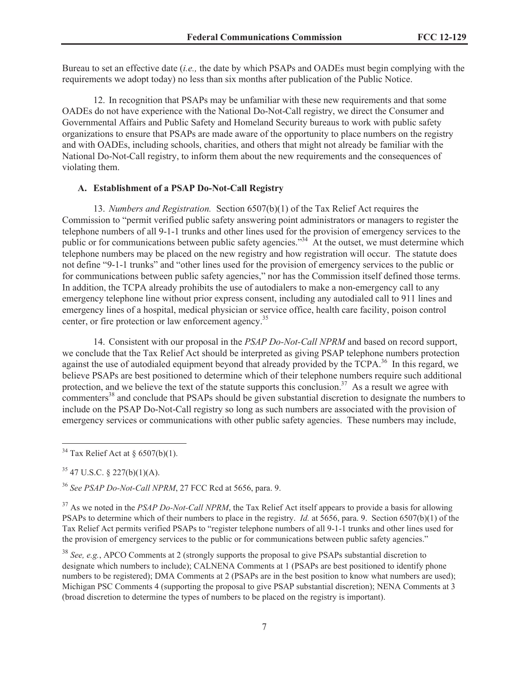Bureau to set an effective date (*i.e.,* the date by which PSAPs and OADEs must begin complying with the requirements we adopt today) no less than six months after publication of the Public Notice.

12. In recognition that PSAPs may be unfamiliar with these new requirements and that some OADEs do not have experience with the National Do-Not-Call registry, we direct the Consumer and Governmental Affairs and Public Safety and Homeland Security bureaus to work with public safety organizations to ensure that PSAPs are made aware of the opportunity to place numbers on the registry and with OADEs, including schools, charities, and others that might not already be familiar with the National Do-Not-Call registry, to inform them about the new requirements and the consequences of violating them.

#### **A. Establishment of a PSAP Do-Not-Call Registry**

13. *Numbers and Registration.* Section 6507(b)(1) of the Tax Relief Act requires the Commission to "permit verified public safety answering point administrators or managers to register the telephone numbers of all 9-1-1 trunks and other lines used for the provision of emergency services to the public or for communications between public safety agencies."<sup>34</sup> At the outset, we must determine which telephone numbers may be placed on the new registry and how registration will occur. The statute does not define "9-1-1 trunks" and "other lines used for the provision of emergency services to the public or for communications between public safety agencies," nor has the Commission itself defined those terms. In addition, the TCPA already prohibits the use of autodialers to make a non-emergency call to any emergency telephone line without prior express consent, including any autodialed call to 911 lines and emergency lines of a hospital, medical physician or service office, health care facility, poison control center, or fire protection or law enforcement agency.<sup>35</sup>

14. Consistent with our proposal in the *PSAP Do-Not-Call NPRM* and based on record support, we conclude that the Tax Relief Act should be interpreted as giving PSAP telephone numbers protection against the use of autodialed equipment beyond that already provided by the TCPA.<sup>36</sup> In this regard, we believe PSAPs are best positioned to determine which of their telephone numbers require such additional protection, and we believe the text of the statute supports this conclusion.<sup>37</sup> As a result we agree with commenters <sup>38</sup> and conclude that PSAPs should be given substantial discretion to designate the numbers to include on the PSAP Do-Not-Call registry so long as such numbers are associated with the provision of emergency services or communications with other public safety agencies. These numbers may include,

<sup>37</sup> As we noted in the *PSAP Do-Not-Call NPRM*, the Tax Relief Act itself appears to provide a basis for allowing PSAPs to determine which of their numbers to place in the registry. *Id.* at 5656, para. 9. Section 6507(b)(1) of the Tax Relief Act permits verified PSAPs to "register telephone numbers of all 9-1-1 trunks and other lines used for the provision of emergency services to the public or for communications between public safety agencies."

<sup>38</sup> *See, e.g.*, APCO Comments at 2 (strongly supports the proposal to give PSAPs substantial discretion to designate which numbers to include); CALNENA Comments at 1 (PSAPs are best positioned to identify phone numbers to be registered); DMA Comments at 2 (PSAPs are in the best position to know what numbers are used); Michigan PSC Comments 4 (supporting the proposal to give PSAP substantial discretion); NENA Comments at 3 (broad discretion to determine the types of numbers to be placed on the registry is important).

 $34$  Tax Relief Act at § 6507(b)(1).

 $35$  47 U.S.C. § 227(b)(1)(A).

<sup>36</sup> *See PSAP Do-Not-Call NPRM*, 27 FCC Rcd at 5656, para. 9.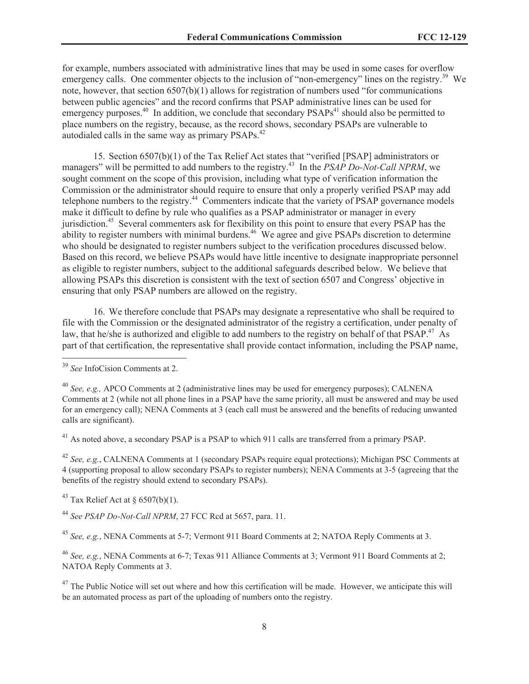for example, numbers associated with administrative lines that may be used in some cases for overflow emergency calls. One commenter objects to the inclusion of "non-emergency" lines on the registry.<sup>39</sup> We note, however, that section 6507(b)(1) allows for registration of numbers used "for communications between public agencies" and the record confirms that PSAP administrative lines can be used for emergency purposes. $40$  In addition, we conclude that secondary PSAPs<sup>41</sup> should also be permitted to place numbers on the registry, because, as the record shows, secondary PSAPs are vulnerable to autodialed calls in the same way as primary PSAPs.<sup>42</sup>

15. Section 6507(b)(1) of the Tax Relief Act states that "verified [PSAP] administrators or managers" will be permitted to add numbers to the registry.<sup>43</sup> In the *PSAP Do-Not-Call NPRM*, we sought comment on the scope of this provision, including what type of verification information the Commission or the administrator should require to ensure that only a properly verified PSAP may add telephone numbers to the registry.<sup>44</sup> Commenters indicate that the variety of PSAP governance models make it difficult to define by rule who qualifies as a PSAP administrator or manager in every jurisdiction.<sup>45</sup> Several commenters ask for flexibility on this point to ensure that every PSAP has the ability to register numbers with minimal burdens.<sup>46</sup> We agree and give PSAPs discretion to determine who should be designated to register numbers subject to the verification procedures discussed below. Based on this record, we believe PSAPs would have little incentive to designate inappropriate personnel as eligible to register numbers, subject to the additional safeguards described below. We believe that allowing PSAPs this discretion is consistent with the text of section 6507 and Congress' objective in ensuring that only PSAP numbers are allowed on the registry.

16. We therefore conclude that PSAPs may designate a representative who shall be required to file with the Commission or the designated administrator of the registry a certification, under penalty of law, that he/she is authorized and eligible to add numbers to the registry on behalf of that PSAP.<sup>47</sup> As part of that certification, the representative shall provide contact information, including the PSAP name,

<sup>41</sup> As noted above, a secondary PSAP is a PSAP to which 911 calls are transferred from a primary PSAP.

<sup>42</sup> *See, e.g.*, CALNENA Comments at 1 (secondary PSAPs require equal protections); Michigan PSC Comments at 4 (supporting proposal to allow secondary PSAPs to register numbers); NENA Comments at 3-5 (agreeing that the benefits of the registry should extend to secondary PSAPs).

<sup>43</sup> Tax Relief Act at  $\S$  6507(b)(1).

<sup>44</sup> *See PSAP Do-Not-Call NPRM*, 27 FCC Rcd at 5657, para. 11.

<sup>45</sup> *See, e.g.*, NENA Comments at 5-7; Vermont 911 Board Comments at 2; NATOA Reply Comments at 3.

<sup>46</sup> *See, e.g.*, NENA Comments at 6-7; Texas 911 Alliance Comments at 3; Vermont 911 Board Comments at 2; NATOA Reply Comments at 3.

 $47$  The Public Notice will set out where and how this certification will be made. However, we anticipate this will be an automated process as part of the uploading of numbers onto the registry.

<sup>39</sup> *See* InfoCision Comments at 2.

<sup>40</sup> *See, e.g.,* APCO Comments at 2 (administrative lines may be used for emergency purposes); CALNENA Comments at 2 (while not all phone lines in a PSAP have the same priority, all must be answered and may be used for an emergency call); NENA Comments at 3 (each call must be answered and the benefits of reducing unwanted calls are significant).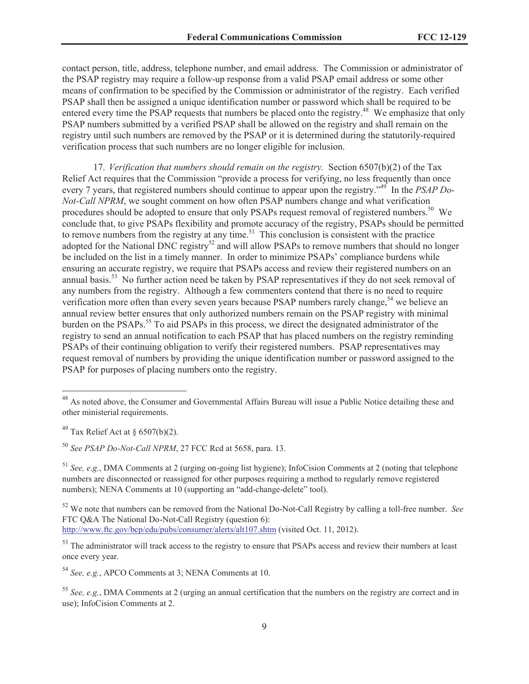contact person, title, address, telephone number, and email address. The Commission or administrator of the PSAP registry may require a follow-up response from a valid PSAP email address or some other means of confirmation to be specified by the Commission or administrator of the registry. Each verified PSAP shall then be assigned a unique identification number or password which shall be required to be entered every time the PSAP requests that numbers be placed onto the registry.<sup>48</sup> We emphasize that only PSAP numbers submitted by a verified PSAP shall be allowed on the registry and shall remain on the registry until such numbers are removed by the PSAP or it is determined during the statutorily-required verification process that such numbers are no longer eligible for inclusion.

17. *Verification that numbers should remain on the registry.* Section 6507(b)(2) of the Tax Relief Act requires that the Commission "provide a process for verifying, no less frequently than once every 7 years, that registered numbers should continue to appear upon the registry.<sup>49</sup> In the *PSAP Do-Not-Call NPRM*, we sought comment on how often PSAP numbers change and what verification procedures should be adopted to ensure that only PSAPs request removal of registered numbers.<sup>50</sup> We conclude that, to give PSAPs flexibility and promote accuracy of the registry, PSAPs should be permitted to remove numbers from the registry at any time.<sup>51</sup> This conclusion is consistent with the practice adopted for the National DNC registry<sup>52</sup> and will allow PSAPs to remove numbers that should no longer be included on the list in a timely manner. In order to minimize PSAPs' compliance burdens while ensuring an accurate registry, we require that PSAPs access and review their registered numbers on an annual basis.<sup>53</sup> No further action need be taken by PSAP representatives if they do not seek removal of any numbers from the registry. Although a few commenters contend that there is no need to require verification more often than every seven years because PSAP numbers rarely change,<sup>54</sup> we believe an annual review better ensures that only authorized numbers remain on the PSAP registry with minimal burden on the PSAPs.<sup>55</sup> To aid PSAPs in this process, we direct the designated administrator of the registry to send an annual notification to each PSAP that has placed numbers on the registry reminding PSAPs of their continuing obligation to verify their registered numbers. PSAP representatives may request removal of numbers by providing the unique identification number or password assigned to the PSAP for purposes of placing numbers onto the registry.

<sup>52</sup> We note that numbers can be removed from the National Do-Not-Call Registry by calling a toll-free number. *See*  FTC Q&A The National Do-Not-Call Registry (question 6): http://www.ftc.gov/bcp/edu/pubs/consumer/alerts/alt107.shtm (visited Oct. 11, 2012).

<sup>53</sup> The administrator will track access to the registry to ensure that PSAPs access and review their numbers at least once every year.

<sup>54</sup> *See, e.g.*, APCO Comments at 3; NENA Comments at 10.

<sup>&</sup>lt;sup>48</sup> As noted above, the Consumer and Governmental Affairs Bureau will issue a Public Notice detailing these and other ministerial requirements.

<sup>&</sup>lt;sup>49</sup> Tax Relief Act at  $\S$  6507(b)(2).

<sup>50</sup> *See PSAP Do-Not-Call NPRM*, 27 FCC Rcd at 5658, para. 13.

<sup>51</sup> *See, e.g.*, DMA Comments at 2 (urging on-going list hygiene); InfoCision Comments at 2 (noting that telephone numbers are disconnected or reassigned for other purposes requiring a method to regularly remove registered numbers); NENA Comments at 10 (supporting an "add-change-delete" tool).

<sup>55</sup> *See, e.g.*, DMA Comments at 2 (urging an annual certification that the numbers on the registry are correct and in use); InfoCision Comments at 2.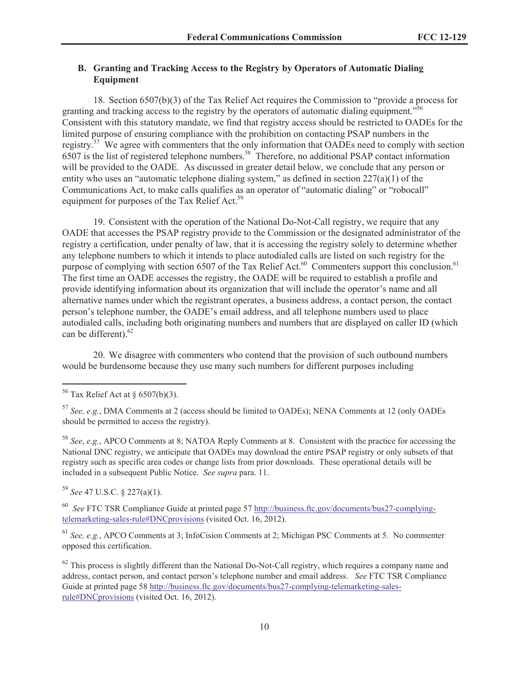# **B. Granting and Tracking Access to the Registry by Operators of Automatic Dialing Equipment**

18. Section 6507(b)(3) of the Tax Relief Act requires the Commission to "provide a process for granting and tracking access to the registry by the operators of automatic dialing equipment.<sup>556</sup> Consistent with this statutory mandate, we find that registry access should be restricted to OADEs for the limited purpose of ensuring compliance with the prohibition on contacting PSAP numbers in the registry.<sup>57</sup> We agree with commenters that the only information that OADEs need to comply with section 6507 is the list of registered telephone numbers.<sup>58</sup> Therefore, no additional PSAP contact information will be provided to the OADE. As discussed in greater detail below, we conclude that any person or entity who uses an "automatic telephone dialing system," as defined in section  $227(a)(1)$  of the Communications Act, to make calls qualifies as an operator of "automatic dialing" or "robocall" equipment for purposes of the Tax Relief Act.<sup>59</sup>

19. Consistent with the operation of the National Do-Not-Call registry, we require that any OADE that accesses the PSAP registry provide to the Commission or the designated administrator of the registry a certification, under penalty of law, that it is accessing the registry solely to determine whether any telephone numbers to which it intends to place autodialed calls are listed on such registry for the purpose of complying with section 6507 of the Tax Relief Act.<sup>60</sup> Commenters support this conclusion.<sup>61</sup> The first time an OADE accesses the registry, the OADE will be required to establish a profile and provide identifying information about its organization that will include the operator's name and all alternative names under which the registrant operates, a business address, a contact person, the contact person's telephone number, the OADE's email address, and all telephone numbers used to place autodialed calls, including both originating numbers and numbers that are displayed on caller ID (which can be different).<sup>62</sup>

20. We disagree with commenters who contend that the provision of such outbound numbers would be burdensome because they use many such numbers for different purposes including

<sup>58</sup> *See*, *e.g.*, APCO Comments at 8; NATOA Reply Comments at 8. Consistent with the practice for accessing the National DNC registry, we anticipate that OADEs may download the entire PSAP registry or only subsets of that registry such as specific area codes or change lists from prior downloads. These operational details will be included in a subsequent Public Notice. *See supra* para. 11.

<sup>59</sup> *See* 47 U.S.C. § 227(a)(1).

<sup>60</sup> *See* FTC TSR Compliance Guide at printed page 57 http://business.ftc.gov/documents/bus27-complyingtelemarketing-sales-rule#DNCprovisions (visited Oct. 16, 2012).

<sup>61</sup> *See, e.g.*, APCO Comments at 3; InfoCision Comments at 2; Michigan PSC Comments at 5. No commenter opposed this certification.

 $62$  This process is slightly different than the National Do-Not-Call registry, which requires a company name and address, contact person, and contact person's telephone number and email address. *See* FTC TSR Compliance Guide at printed page 58 http://business.ftc.gov/documents/bus27-complying-telemarketing-salesrule#DNCprovisions (visited Oct. 16, 2012).

 $56$  Tax Relief Act at § 6507(b)(3).

<sup>57</sup> *See, e.g.*, DMA Comments at 2 (access should be limited to OADEs); NENA Comments at 12 (only OADEs should be permitted to access the registry).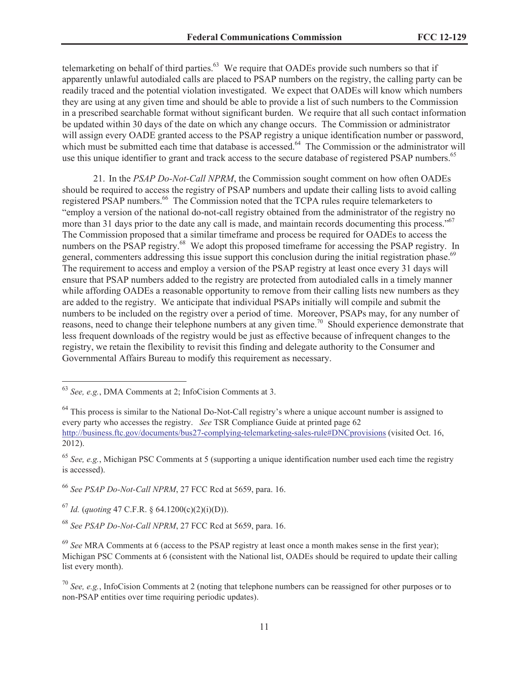telemarketing on behalf of third parties.<sup>63</sup> We require that OADEs provide such numbers so that if apparently unlawful autodialed calls are placed to PSAP numbers on the registry, the calling party can be readily traced and the potential violation investigated. We expect that OADEs will know which numbers they are using at any given time and should be able to provide a list of such numbers to the Commission in a prescribed searchable format without significant burden. We require that all such contact information be updated within 30 days of the date on which any change occurs. The Commission or administrator will assign every OADE granted access to the PSAP registry a unique identification number or password, which must be submitted each time that database is accessed.<sup>64</sup> The Commission or the administrator will use this unique identifier to grant and track access to the secure database of registered PSAP numbers.<sup>65</sup>

21. In the *PSAP Do-Not-Call NPRM*, the Commission sought comment on how often OADEs should be required to access the registry of PSAP numbers and update their calling lists to avoid calling registered PSAP numbers.<sup>66</sup> The Commission noted that the TCPA rules require telemarketers to "employ a version of the national do-not-call registry obtained from the administrator of the registry no more than 31 days prior to the date any call is made, and maintain records documenting this process."<sup>67</sup> The Commission proposed that a similar timeframe and process be required for OADEs to access the numbers on the PSAP registry.<sup>68</sup> We adopt this proposed timeframe for accessing the PSAP registry. In general, commenters addressing this issue support this conclusion during the initial registration phase.<sup>69</sup> The requirement to access and employ a version of the PSAP registry at least once every 31 days will ensure that PSAP numbers added to the registry are protected from autodialed calls in a timely manner while affording OADEs a reasonable opportunity to remove from their calling lists new numbers as they are added to the registry. We anticipate that individual PSAPs initially will compile and submit the numbers to be included on the registry over a period of time. Moreover, PSAPs may, for any number of reasons, need to change their telephone numbers at any given time.<sup>70</sup> Should experience demonstrate that less frequent downloads of the registry would be just as effective because of infrequent changes to the registry, we retain the flexibility to revisit this finding and delegate authority to the Consumer and Governmental Affairs Bureau to modify this requirement as necessary.

<sup>66</sup> *See PSAP Do-Not-Call NPRM*, 27 FCC Rcd at 5659, para. 16.

<sup>67</sup> *Id.* (*quoting* 47 C.F.R. § 64.1200(c)(2)(i)(D)).

<sup>68</sup> *See PSAP Do-Not-Call NPRM*, 27 FCC Rcd at 5659, para. 16.

<sup>63</sup> *See, e.g.*, DMA Comments at 2; InfoCision Comments at 3.

<sup>&</sup>lt;sup>64</sup> This process is similar to the National Do-Not-Call registry's where a unique account number is assigned to every party who accesses the registry. *See* TSR Compliance Guide at printed page 62 http://business.ftc.gov/documents/bus27-complying-telemarketing-sales-rule#DNCprovisions (visited Oct. 16, 2012).

<sup>65</sup> *See, e.g.*, Michigan PSC Comments at 5 (supporting a unique identification number used each time the registry is accessed).

<sup>69</sup> *See* MRA Comments at 6 (access to the PSAP registry at least once a month makes sense in the first year); Michigan PSC Comments at 6 (consistent with the National list, OADEs should be required to update their calling list every month).

<sup>70</sup> *See, e.g.*, InfoCision Comments at 2 (noting that telephone numbers can be reassigned for other purposes or to non-PSAP entities over time requiring periodic updates).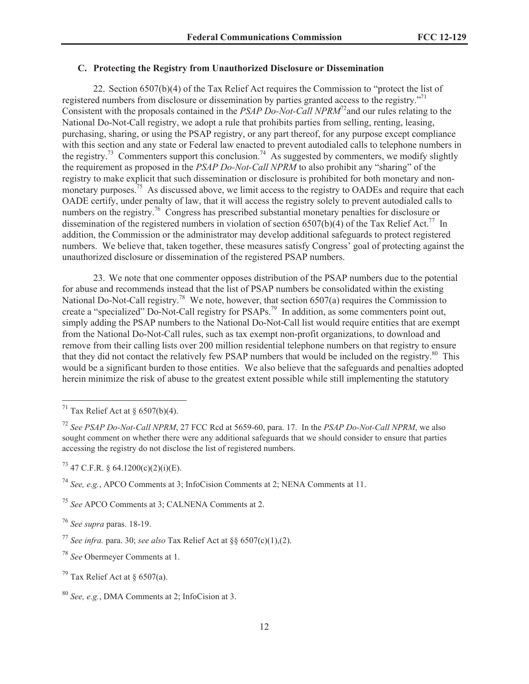## **C. Protecting the Registry from Unauthorized Disclosure or Dissemination**

22. Section 6507(b)(4) of the Tax Relief Act requires the Commission to "protect the list of registered numbers from disclosure or dissemination by parties granted access to the registry."<sup>71</sup> Consistent with the proposals contained in the *PSAP Do-Not-Call NPRM*<sup>72</sup>and our rules relating to the National Do-Not-Call registry, we adopt a rule that prohibits parties from selling, renting, leasing, purchasing, sharing, or using the PSAP registry, or any part thereof, for any purpose except compliance with this section and any state or Federal law enacted to prevent autodialed calls to telephone numbers in the registry.<sup>73</sup> Commenters support this conclusion.<sup>74</sup> As suggested by commenters, we modify slightly the requirement as proposed in the *PSAP Do-Not-Call NPRM* to also prohibit any "sharing" of the registry to make explicit that such dissemination or disclosure is prohibited for both monetary and nonmonetary purposes.<sup>75</sup> As discussed above, we limit access to the registry to OADEs and require that each OADE certify, under penalty of law, that it will access the registry solely to prevent autodialed calls to numbers on the registry.<sup>76</sup> Congress has prescribed substantial monetary penalties for disclosure or dissemination of the registered numbers in violation of section 6507(b)(4) of the Tax Relief Act.<sup>77</sup> In addition, the Commission or the administrator may develop additional safeguards to protect registered numbers. We believe that, taken together, these measures satisfy Congress' goal of protecting against the unauthorized disclosure or dissemination of the registered PSAP numbers.

23. We note that one commenter opposes distribution of the PSAP numbers due to the potential for abuse and recommends instead that the list of PSAP numbers be consolidated within the existing National Do-Not-Call registry.<sup>78</sup> We note, however, that section 6507(a) requires the Commission to create a "specialized" Do-Not-Call registry for PSAPs.<sup>79</sup> In addition, as some commenters point out, simply adding the PSAP numbers to the National Do-Not-Call list would require entities that are exempt from the National Do-Not-Call rules, such as tax exempt non-profit organizations, to download and remove from their calling lists over 200 million residential telephone numbers on that registry to ensure that they did not contact the relatively few PSAP numbers that would be included on the registry.<sup>80</sup> This would be a significant burden to those entities. We also believe that the safeguards and penalties adopted herein minimize the risk of abuse to the greatest extent possible while still implementing the statutory

<sup>78</sup> *See* Obermeyer Comments at 1.

<sup>&</sup>lt;sup>71</sup> Tax Relief Act at  $\frac{6507(b)(4)}{4}$ .

<sup>72</sup> *See PSAP Do-Not-Call NPRM*, 27 FCC Rcd at 5659-60, para. 17. In the *PSAP Do-Not-Call NPRM*, we also sought comment on whether there were any additional safeguards that we should consider to ensure that parties accessing the registry do not disclose the list of registered numbers.

 $^{73}$  47 C.F.R. § 64.1200(c)(2)(i)(E).

<sup>74</sup> *See, e.g.*, APCO Comments at 3; InfoCision Comments at 2; NENA Comments at 11.

<sup>75</sup> *See* APCO Comments at 3; CALNENA Comments at 2.

<sup>76</sup> *See supra* paras. 18-19.

<sup>77</sup> *See infra.* para. 30; *see also* Tax Relief Act at §§ 6507(c)(1),(2).

<sup>&</sup>lt;sup>79</sup> Tax Relief Act at  $\delta$  6507(a).

<sup>80</sup> *See, e.g.*, DMA Comments at 2; InfoCision at 3.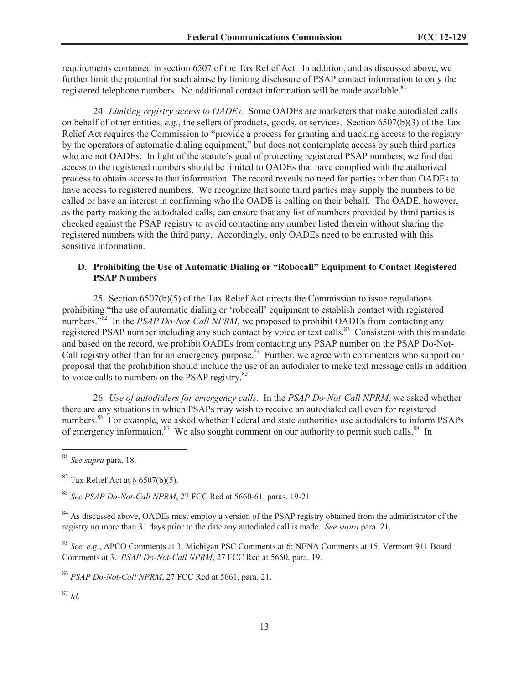requirements contained in section 6507 of the Tax Relief Act. In addition, and as discussed above, we further limit the potential for such abuse by limiting disclosure of PSAP contact information to only the registered telephone numbers. No additional contact information will be made available.<sup>81</sup>

24. *Limiting registry access to OADEs.* Some OADEs are marketers that make autodialed calls on behalf of other entities, *e.g.*, the sellers of products, goods, or services. Section 6507(b)(3) of the Tax Relief Act requires the Commission to "provide a process for granting and tracking access to the registry by the operators of automatic dialing equipment," but does not contemplate access by such third parties who are not OADEs. In light of the statute's goal of protecting registered PSAP numbers, we find that access to the registered numbers should be limited to OADEs that have complied with the authorized process to obtain access to that information. The record reveals no need for parties other than OADEs to have access to registered numbers. We recognize that some third parties may supply the numbers to be called or have an interest in confirming who the OADE is calling on their behalf. The OADE, however, as the party making the autodialed calls, can ensure that any list of numbers provided by third parties is checked against the PSAP registry to avoid contacting any number listed therein without sharing the registered numbers with the third party. Accordingly, only OADEs need to be entrusted with this sensitive information.

## **D. Prohibiting the Use of Automatic Dialing or "Robocall" Equipment to Contact Registered PSAP Numbers**

25. Section 6507(b)(5) of the Tax Relief Act directs the Commission to issue regulations prohibiting "the use of automatic dialing or 'robocall' equipment to establish contact with registered numbers.<sup>382</sup> In the *PSAP Do-Not-Call NPRM*, we proposed to prohibit OADEs from contacting any registered PSAP number including any such contact by voice or text calls.<sup>83</sup> Consistent with this mandate and based on the record, we prohibit OADEs from contacting any PSAP number on the PSAP Do-Not-Call registry other than for an emergency purpose.<sup>84</sup> Further, we agree with commenters who support our proposal that the prohibition should include the use of an autodialer to make text message calls in addition to voice calls to numbers on the PSAP registry.<sup>85</sup>

26. *Use of autodialers for emergency calls.* In the *PSAP Do-Not-Call NPRM*, we asked whether there are any situations in which PSAPs may wish to receive an autodialed call even for registered numbers.<sup>86</sup> For example, we asked whether Federal and state authorities use autodialers to inform PSAPs of emergency information.<sup>87</sup> We also sought comment on our authority to permit such calls.<sup>88</sup> In

<sup>83</sup> *See PSAP Do-Not-Call NPRM*, 27 FCC Rcd at 5660-61, paras. 19-21.

<sup>84</sup> As discussed above, OADEs must employ a version of the PSAP registry obtained from the administrator of the registry no more than 31 days prior to the date any autodialed call is made. *See supra* para. 21.

<sup>85</sup> *See, e.g.*, APCO Comments at 3; Michigan PSC Comments at 6; NENA Comments at 15; Vermont 911 Board Comments at 3. *PSAP Do-Not-Call NPRM*, 27 FCC Rcd at 5660, para. 19.

<sup>86</sup> *PSAP Do-Not-Call NPRM*, 27 FCC Rcd at 5661, para. 21.

<sup>87</sup> *Id*.

<sup>81</sup> *See supra* para. 18.

 $82$  Tax Relief Act at § 6507(b)(5).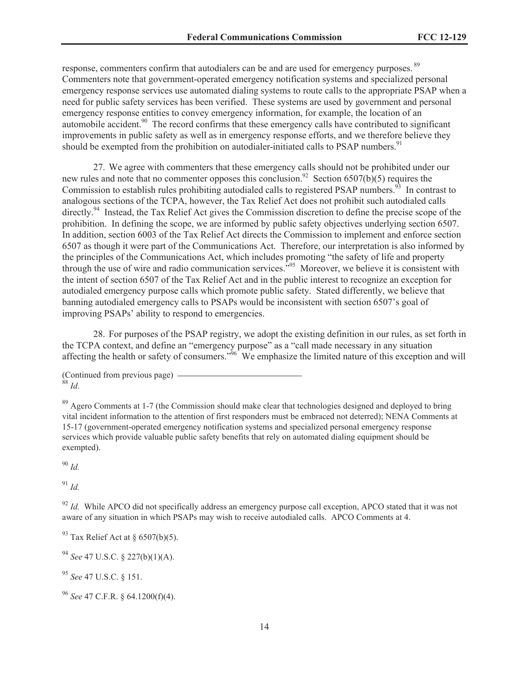response, commenters confirm that autodialers can be and are used for emergency purposes. <sup>89</sup> Commenters note that government-operated emergency notification systems and specialized personal emergency response services use automated dialing systems to route calls to the appropriate PSAP when a need for public safety services has been verified. These systems are used by government and personal emergency response entities to convey emergency information, for example, the location of an automobile accident.<sup>90</sup> The record confirms that these emergency calls have contributed to significant improvements in public safety as well as in emergency response efforts, and we therefore believe they should be exempted from the prohibition on autodialer-initiated calls to PSAP numbers.<sup>91</sup>

27. We agree with commenters that these emergency calls should not be prohibited under our new rules and note that no commenter opposes this conclusion.<sup>92</sup> Section 6507(b)(5) requires the Commission to establish rules prohibiting autodialed calls to registered PSAP numbers.<sup>93</sup> In contrast to analogous sections of the TCPA, however, the Tax Relief Act does not prohibit such autodialed calls directly.<sup>94</sup> Instead, the Tax Relief Act gives the Commission discretion to define the precise scope of the prohibition. In defining the scope, we are informed by public safety objectives underlying section 6507. In addition, section 6003 of the Tax Relief Act directs the Commission to implement and enforce section 6507 as though it were part of the Communications Act. Therefore, our interpretation is also informed by the principles of the Communications Act, which includes promoting "the safety of life and property through the use of wire and radio communication services.<sup>"95</sup> Moreover, we believe it is consistent with the intent of section 6507 of the Tax Relief Act and in the public interest to recognize an exception for autodialed emergency purpose calls which promote public safety. Stated differently, we believe that banning autodialed emergency calls to PSAPs would be inconsistent with section 6507's goal of improving PSAPs' ability to respond to emergencies.

28. For purposes of the PSAP registry, we adopt the existing definition in our rules, as set forth in the TCPA context, and define an "emergency purpose" as a "call made necessary in any situation affecting the health or safety of consumers."<sup>96</sup> We emphasize the limited nature of this exception and will

<sup>90</sup> *Id.*

<sup>91</sup> *Id.*

<sup>92</sup> *Id.* While APCO did not specifically address an emergency purpose call exception, APCO stated that it was not aware of any situation in which PSAPs may wish to receive autodialed calls. APCO Comments at 4.

<sup>94</sup> *See* 47 U.S.C. § 227(b)(1)(A).

<sup>95</sup> *See* 47 U.S.C. § 151.

<sup>(</sup>Continued from previous page) <sup>88</sup> *Id*.

<sup>&</sup>lt;sup>89</sup> Agero Comments at 1-7 (the Commission should make clear that technologies designed and deployed to bring vital incident information to the attention of first responders must be embraced not deterred); NENA Comments at 15-17 (government-operated emergency notification systems and specialized personal emergency response services which provide valuable public safety benefits that rely on automated dialing equipment should be exempted).

 $93$  Tax Relief Act at § 6507(b)(5).

<sup>96</sup> *See* 47 C.F.R. § 64.1200(f)(4).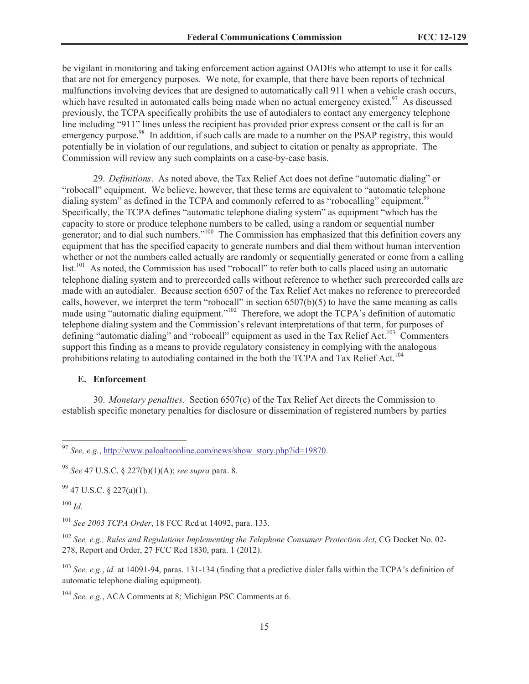be vigilant in monitoring and taking enforcement action against OADEs who attempt to use it for calls that are not for emergency purposes. We note, for example, that there have been reports of technical malfunctions involving devices that are designed to automatically call 911 when a vehicle crash occurs, which have resulted in automated calls being made when no actual emergency existed.<sup>97</sup> As discussed previously, the TCPA specifically prohibits the use of autodialers to contact any emergency telephone line including "911" lines unless the recipient has provided prior express consent or the call is for an emergency purpose.<sup>98</sup> In addition, if such calls are made to a number on the PSAP registry, this would potentially be in violation of our regulations, and subject to citation or penalty as appropriate. The Commission will review any such complaints on a case-by-case basis.

29. *Definitions*. As noted above, the Tax Relief Act does not define "automatic dialing" or "robocall" equipment. We believe, however, that these terms are equivalent to "automatic telephone dialing system" as defined in the TCPA and commonly referred to as "robocalling" equipment.<sup>99</sup> Specifically, the TCPA defines "automatic telephone dialing system" as equipment "which has the capacity to store or produce telephone numbers to be called, using a random or sequential number generator; and to dial such numbers."<sup>100</sup> The Commission has emphasized that this definition covers any equipment that has the specified capacity to generate numbers and dial them without human intervention whether or not the numbers called actually are randomly or sequentially generated or come from a calling list.<sup>101</sup> As noted, the Commission has used "robocall" to refer both to calls placed using an automatic telephone dialing system and to prerecorded calls without reference to whether such prerecorded calls are made with an autodialer. Because section 6507 of the Tax Relief Act makes no reference to prerecorded calls, however, we interpret the term "robocall" in section  $6507(b)(5)$  to have the same meaning as calls made using "automatic dialing equipment."<sup>102</sup> Therefore, we adopt the TCPA's definition of automatic telephone dialing system and the Commission's relevant interpretations of that term, for purposes of defining "automatic dialing" and "robocall" equipment as used in the Tax Relief Act.<sup>103</sup> Commenters support this finding as a means to provide regulatory consistency in complying with the analogous prohibitions relating to autodialing contained in the both the TCPA and Tax Relief Act.<sup>104</sup>

#### **E. Enforcement**

30. *Monetary penalties.* Section 6507(c) of the Tax Relief Act directs the Commission to establish specific monetary penalties for disclosure or dissemination of registered numbers by parties

 $99$  47 U.S.C. § 227(a)(1).

<sup>100</sup> *Id.*

<sup>103</sup> *See, e.g.*, *id.* at 14091-94, paras. 131-134 (finding that a predictive dialer falls within the TCPA's definition of automatic telephone dialing equipment).

<sup>104</sup> *See, e.g.*, ACA Comments at 8; Michigan PSC Comments at 6.

<sup>97</sup> *See, e.g.*, http://www.paloaltoonline.com/news/show\_story.php?id=19870.

<sup>98</sup> *See* 47 U.S.C. § 227(b)(1)(A); *see supra* para. 8.

<sup>101</sup> *See 2003 TCPA Order*, 18 FCC Rcd at 14092, para. 133.

<sup>102</sup> *See, e.g., Rules and Regulations Implementing the Telephone Consumer Protection Act*, CG Docket No. 02- 278, Report and Order, 27 FCC Rcd 1830, para. 1 (2012).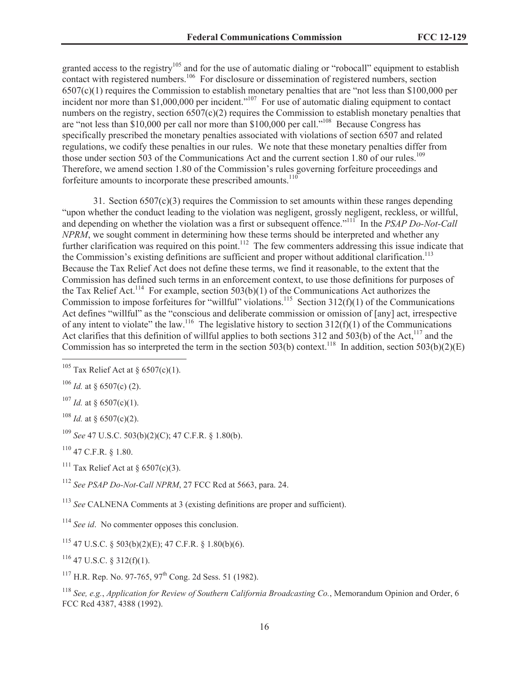granted access to the registry<sup>105</sup> and for the use of automatic dialing or "robocall" equipment to establish contact with registered numbers.<sup>106</sup> For disclosure or dissemination of registered numbers, section 6507(c)(1) requires the Commission to establish monetary penalties that are "not less than \$100,000 per incident nor more than \$1,000,000 per incident."<sup>107</sup> For use of automatic dialing equipment to contact numbers on the registry, section 6507(c)(2) requires the Commission to establish monetary penalties that are "not less than \$10,000 per call nor more than \$100,000 per call."<sup>108</sup> Because Congress has specifically prescribed the monetary penalties associated with violations of section 6507 and related regulations, we codify these penalties in our rules. We note that these monetary penalties differ from those under section 503 of the Communications Act and the current section 1.80 of our rules.<sup>109</sup> Therefore, we amend section 1.80 of the Commission's rules governing forfeiture proceedings and forfeiture amounts to incorporate these prescribed amounts.<sup>110</sup>

31. Section 6507(c)(3) requires the Commission to set amounts within these ranges depending "upon whether the conduct leading to the violation was negligent, grossly negligent, reckless, or willful, and depending on whether the violation was a first or subsequent offence."<sup>111</sup> In the *PSAP Do-Not-Call NPRM*, we sought comment in determining how these terms should be interpreted and whether any further clarification was required on this point.<sup>112</sup> The few commenters addressing this issue indicate that the Commission's existing definitions are sufficient and proper without additional clarification.<sup>113</sup> Because the Tax Relief Act does not define these terms, we find it reasonable, to the extent that the Commission has defined such terms in an enforcement context, to use those definitions for purposes of the Tax Relief Act.<sup>114</sup> For example, section 503(b)(1) of the Communications Act authorizes the Commission to impose forfeitures for "willful" violations.<sup>115</sup> Section 312(f)(1) of the Communications Act defines "willful" as the "conscious and deliberate commission or omission of [any] act, irrespective of any intent to violate" the law.<sup>116</sup> The legislative history to section  $312(f)(1)$  of the Communications Act clarifies that this definition of willful applies to both sections  $312$  and  $503(b)$  of the Act,<sup>117</sup> and the Commission has so interpreted the term in the section 503(b) context.<sup>118</sup> In addition, section 503(b)(2)(E)

 $107$  *Id.* at § 6507(c)(1).

<sup>108</sup> *Id.* at § 6507(c)(2).

<sup>109</sup> *See* 47 U.S.C. 503(b)(2)(C); 47 C.F.R. § 1.80(b).

 $110$  47 C.F.R. § 1.80.

<sup>111</sup> Tax Relief Act at  $\delta$  6507(c)(3).

<sup>112</sup> *See PSAP Do-Not-Call NPRM*, 27 FCC Rcd at 5663, para. 24.

<sup>113</sup> *See* CALNENA Comments at 3 (existing definitions are proper and sufficient).

<sup>114</sup> *See id*. No commenter opposes this conclusion.

 $115$  47 U.S.C. § 503(b)(2)(E); 47 C.F.R. § 1.80(b)(6).

 $116$  47 U.S.C. § 312(f)(1).

 $117$  H.R. Rep. No. 97-765, 97<sup>th</sup> Cong. 2d Sess. 51 (1982).

<sup>118</sup> *See, e.g.*, *Application for Review of Southern California Broadcasting Co.*, Memorandum Opinion and Order, 6 FCC Rcd 4387, 4388 (1992).

<sup>&</sup>lt;sup>105</sup> Tax Relief Act at § 6507(c)(1).

 $106$  *Id.* at § 6507(c) (2).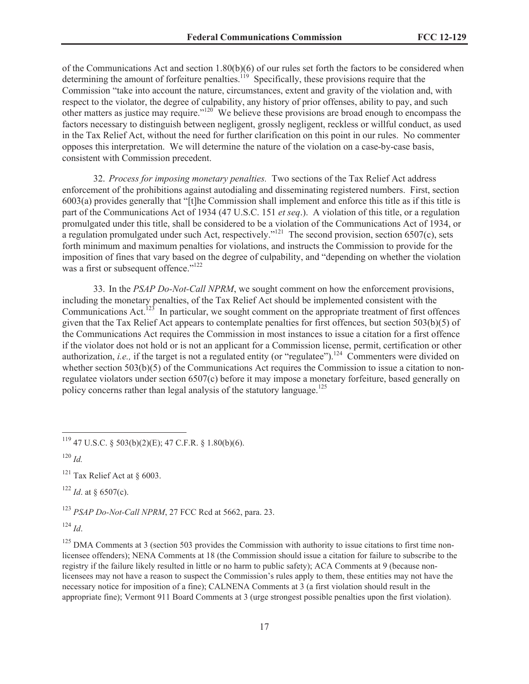of the Communications Act and section 1.80(b)(6) of our rules set forth the factors to be considered when determining the amount of forfeiture penalties.<sup>119</sup> Specifically, these provisions require that the Commission "take into account the nature, circumstances, extent and gravity of the violation and, with respect to the violator, the degree of culpability, any history of prior offenses, ability to pay, and such other matters as justice may require." $120^\circ$  We believe these provisions are broad enough to encompass the factors necessary to distinguish between negligent, grossly negligent, reckless or willful conduct, as used in the Tax Relief Act, without the need for further clarification on this point in our rules. No commenter opposes this interpretation. We will determine the nature of the violation on a case-by-case basis, consistent with Commission precedent.

32. *Process for imposing monetary penalties.* Two sections of the Tax Relief Act address enforcement of the prohibitions against autodialing and disseminating registered numbers. First, section 6003(a) provides generally that "[t]he Commission shall implement and enforce this title as if this title is part of the Communications Act of 1934 (47 U.S.C. 151 *et seq*.). A violation of this title, or a regulation promulgated under this title, shall be considered to be a violation of the Communications Act of 1934, or a regulation promulgated under such Act, respectively."<sup>121</sup> The second provision, section 6507(c), sets forth minimum and maximum penalties for violations, and instructs the Commission to provide for the imposition of fines that vary based on the degree of culpability, and "depending on whether the violation was a first or subsequent offence."<sup>122</sup>

33. In the *PSAP Do-Not-Call NPRM*, we sought comment on how the enforcement provisions, including the monetary penalties, of the Tax Relief Act should be implemented consistent with the Communications Act.<sup>123</sup> In particular, we sought comment on the appropriate treatment of first offences given that the Tax Relief Act appears to contemplate penalties for first offences, but section 503(b)(5) of the Communications Act requires the Commission in most instances to issue a citation for a first offence if the violator does not hold or is not an applicant for a Commission license, permit, certification or other authorization, *i.e.*, if the target is not a regulated entity (or "regulatee").<sup>124</sup> Commenters were divided on whether section 503(b)(5) of the Communications Act requires the Commission to issue a citation to nonregulatee violators under section 6507(c) before it may impose a monetary forfeiture, based generally on policy concerns rather than legal analysis of the statutory language.<sup>125</sup>

 $122$  *Id.* at § 6507(c).

<sup>123</sup> *PSAP Do-Not-Call NPRM*, 27 FCC Rcd at 5662, para. 23.

<sup>124</sup> *Id*.

 $125$  DMA Comments at 3 (section 503 provides the Commission with authority to issue citations to first time nonlicensee offenders); NENA Comments at 18 (the Commission should issue a citation for failure to subscribe to the registry if the failure likely resulted in little or no harm to public safety); ACA Comments at 9 (because nonlicensees may not have a reason to suspect the Commission's rules apply to them, these entities may not have the necessary notice for imposition of a fine); CALNENA Comments at 3 (a first violation should result in the appropriate fine); Vermont 911 Board Comments at 3 (urge strongest possible penalties upon the first violation).

 $119$  47 U.S.C. § 503(b)(2)(E); 47 C.F.R. § 1.80(b)(6).

<sup>120</sup> *Id.*

<sup>&</sup>lt;sup>121</sup> Tax Relief Act at  $\S$  6003.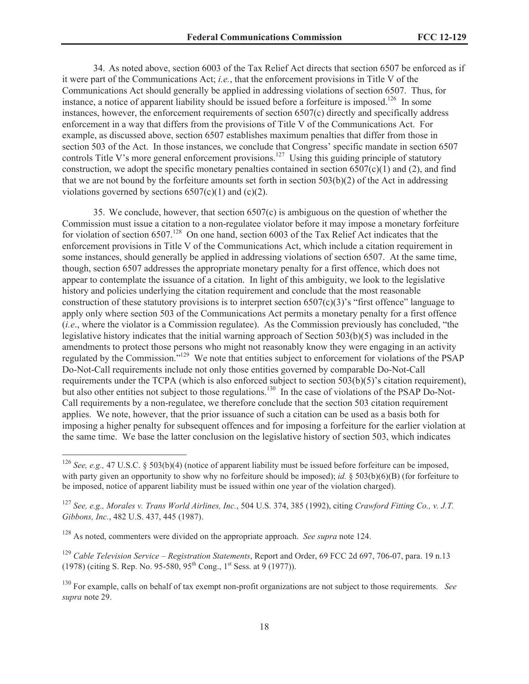34. As noted above, section 6003 of the Tax Relief Act directs that section 6507 be enforced as if it were part of the Communications Act; *i.e.*, that the enforcement provisions in Title V of the Communications Act should generally be applied in addressing violations of section 6507. Thus, for instance, a notice of apparent liability should be issued before a forfeiture is imposed.<sup>126</sup> In some instances, however, the enforcement requirements of section 6507(c) directly and specifically address enforcement in a way that differs from the provisions of Title V of the Communications Act. For example, as discussed above, section 6507 establishes maximum penalties that differ from those in section 503 of the Act. In those instances, we conclude that Congress' specific mandate in section 6507 controls Title V's more general enforcement provisions.<sup>127</sup> Using this guiding principle of statutory construction, we adopt the specific monetary penalties contained in section  $6507(c)(1)$  and (2), and find that we are not bound by the forfeiture amounts set forth in section 503(b)(2) of the Act in addressing violations governed by sections  $6507(c)(1)$  and  $(c)(2)$ .

35. We conclude, however, that section 6507(c) is ambiguous on the question of whether the Commission must issue a citation to a non-regulatee violator before it may impose a monetary forfeiture for violation of section 6507.<sup>128</sup> On one hand, section 6003 of the Tax Relief Act indicates that the enforcement provisions in Title V of the Communications Act, which include a citation requirement in some instances, should generally be applied in addressing violations of section 6507. At the same time, though, section 6507 addresses the appropriate monetary penalty for a first offence, which does not appear to contemplate the issuance of a citation. In light of this ambiguity, we look to the legislative history and policies underlying the citation requirement and conclude that the most reasonable construction of these statutory provisions is to interpret section 6507(c)(3)'s "first offence" language to apply only where section 503 of the Communications Act permits a monetary penalty for a first offence (*i.e*., where the violator is a Commission regulatee). As the Commission previously has concluded, "the legislative history indicates that the initial warning approach of Section 503(b)(5) was included in the amendments to protect those persons who might not reasonably know they were engaging in an activity regulated by the Commission."<sup>129</sup> We note that entities subject to enforcement for violations of the PSAP Do-Not-Call requirements include not only those entities governed by comparable Do-Not-Call requirements under the TCPA (which is also enforced subject to section 503(b)(5)'s citation requirement), but also other entities not subject to those regulations.<sup>130</sup> In the case of violations of the PSAP Do-Not-Call requirements by a non-regulatee, we therefore conclude that the section 503 citation requirement applies. We note, however, that the prior issuance of such a citation can be used as a basis both for imposing a higher penalty for subsequent offences and for imposing a forfeiture for the earlier violation at the same time. We base the latter conclusion on the legislative history of section 503, which indicates

<sup>126</sup> *See, e.g.,* 47 U.S.C. § 503(b)(4) (notice of apparent liability must be issued before forfeiture can be imposed, with party given an opportunity to show why no forfeiture should be imposed); *id.*  $\S$  503(b)(6)(B) (for forfeiture to be imposed, notice of apparent liability must be issued within one year of the violation charged).

<sup>127</sup> *See, e.g., Morales v. Trans World Airlines, Inc.*, 504 U.S. 374, 385 (1992), citing *Crawford Fitting Co., v. J.T. Gibbons, Inc.*, 482 U.S. 437, 445 (1987).

<sup>128</sup> As noted, commenters were divided on the appropriate approach. *See supra* note 124.

<sup>129</sup> *Cable Television Service – Registration Statements*, Report and Order, 69 FCC 2d 697, 706-07, para. 19 n.13 (1978) (citing S. Rep. No. 95-580, 95<sup>th</sup> Cong., 1<sup>st</sup> Sess. at 9 (1977)).

<sup>130</sup> For example, calls on behalf of tax exempt non-profit organizations are not subject to those requirements. *See supra* note 29.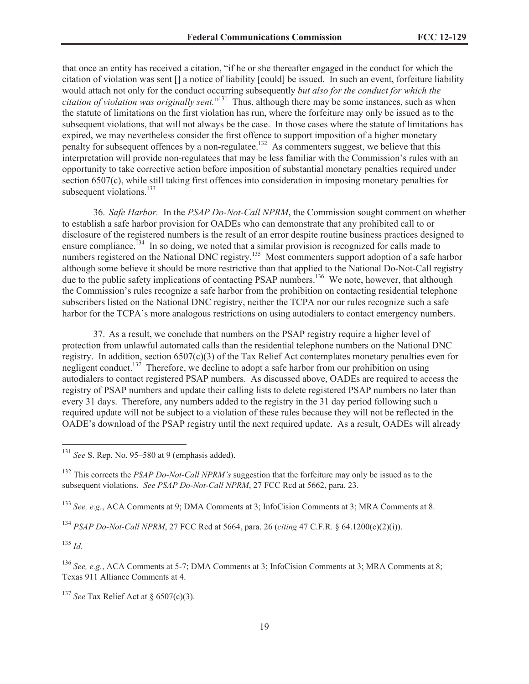that once an entity has received a citation, "if he or she thereafter engaged in the conduct for which the citation of violation was sent [] a notice of liability [could] be issued. In such an event, forfeiture liability would attach not only for the conduct occurring subsequently *but also for the conduct for which the citation of violation was originally sent.*" <sup>131</sup> Thus, although there may be some instances, such as when the statute of limitations on the first violation has run, where the forfeiture may only be issued as to the subsequent violations, that will not always be the case. In those cases where the statute of limitations has expired, we may nevertheless consider the first offence to support imposition of a higher monetary penalty for subsequent offences by a non-regulatee.<sup>132</sup> As commenters suggest, we believe that this interpretation will provide non-regulatees that may be less familiar with the Commission's rules with an opportunity to take corrective action before imposition of substantial monetary penalties required under section 6507(c), while still taking first offences into consideration in imposing monetary penalties for subsequent violations. $133$ 

36. *Safe Harbor.* In the *PSAP Do-Not-Call NPRM*, the Commission sought comment on whether to establish a safe harbor provision for OADEs who can demonstrate that any prohibited call to or disclosure of the registered numbers is the result of an error despite routine business practices designed to ensure compliance.<sup>134</sup> In so doing, we noted that a similar provision is recognized for calls made to numbers registered on the National DNC registry.<sup>135</sup> Most commenters support adoption of a safe harbor although some believe it should be more restrictive than that applied to the National Do-Not-Call registry due to the public safety implications of contacting PSAP numbers.<sup>136</sup> We note, however, that although the Commission's rules recognize a safe harbor from the prohibition on contacting residential telephone subscribers listed on the National DNC registry, neither the TCPA nor our rules recognize such a safe harbor for the TCPA's more analogous restrictions on using autodialers to contact emergency numbers.

37. As a result, we conclude that numbers on the PSAP registry require a higher level of protection from unlawful automated calls than the residential telephone numbers on the National DNC registry. In addition, section  $6507(c)(3)$  of the Tax Relief Act contemplates monetary penalties even for negligent conduct.<sup>137</sup> Therefore, we decline to adopt a safe harbor from our prohibition on using autodialers to contact registered PSAP numbers. As discussed above, OADEs are required to access the registry of PSAP numbers and update their calling lists to delete registered PSAP numbers no later than every 31 days. Therefore, any numbers added to the registry in the 31 day period following such a required update will not be subject to a violation of these rules because they will not be reflected in the OADE's download of the PSAP registry until the next required update. As a result, OADEs will already

<sup>133</sup> *See, e.g.*, ACA Comments at 9; DMA Comments at 3; InfoCision Comments at 3; MRA Comments at 8.

<sup>134</sup> *PSAP Do-Not-Call NPRM*, 27 FCC Rcd at 5664, para. 26 (*citing* 47 C.F.R. § 64.1200(c)(2)(i)).

 $135$  *Id.* 

<sup>136</sup> *See, e.g.*, ACA Comments at 5-7; DMA Comments at 3; InfoCision Comments at 3; MRA Comments at 8; Texas 911 Alliance Comments at 4.

<sup>137</sup> *See* Tax Relief Act at § 6507(c)(3).

<sup>131</sup> *See* S. Rep. No. 95–580 at 9 (emphasis added).

<sup>132</sup> This corrects the *PSAP Do-Not-Call NPRM's* suggestion that the forfeiture may only be issued as to the subsequent violations. *See PSAP Do-Not-Call NPRM*, 27 FCC Rcd at 5662, para. 23.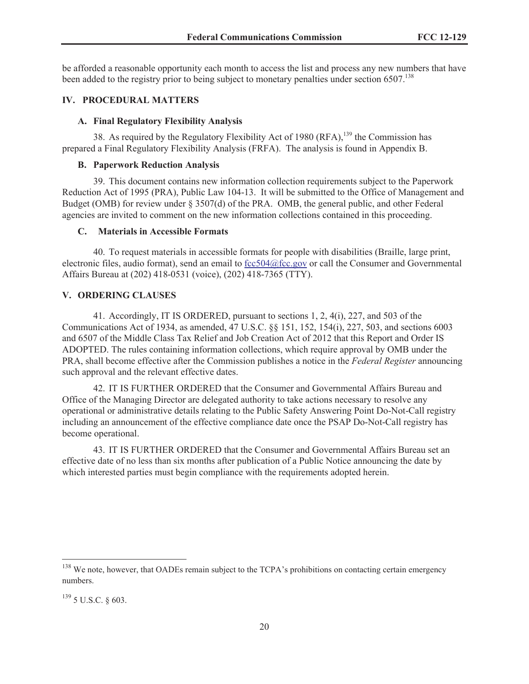be afforded a reasonable opportunity each month to access the list and process any new numbers that have been added to the registry prior to being subject to monetary penalties under section 6507.<sup>138</sup>

#### **IV. PROCEDURAL MATTERS**

#### **A. Final Regulatory Flexibility Analysis**

38. As required by the Regulatory Flexibility Act of 1980 (RFA), $^{139}$  the Commission has prepared a Final Regulatory Flexibility Analysis (FRFA). The analysis is found in Appendix B.

#### **B. Paperwork Reduction Analysis**

39. This document contains new information collection requirements subject to the Paperwork Reduction Act of 1995 (PRA), Public Law 104-13. It will be submitted to the Office of Management and Budget (OMB) for review under § 3507(d) of the PRA. OMB, the general public, and other Federal agencies are invited to comment on the new information collections contained in this proceeding.

#### **C. Materials in Accessible Formats**

40. To request materials in accessible formats for people with disabilities (Braille, large print, electronic files, audio format), send an email to fcc504@fcc.gov or call the Consumer and Governmental Affairs Bureau at (202) 418-0531 (voice), (202) 418-7365 (TTY).

## **V. ORDERING CLAUSES**

41. Accordingly, IT IS ORDERED, pursuant to sections 1, 2, 4(i), 227, and 503 of the Communications Act of 1934, as amended, 47 U.S.C. §§ 151, 152, 154(i), 227, 503, and sections 6003 and 6507 of the Middle Class Tax Relief and Job Creation Act of 2012 that this Report and Order IS ADOPTED. The rules containing information collections, which require approval by OMB under the PRA, shall become effective after the Commission publishes a notice in the *Federal Register* announcing such approval and the relevant effective dates.

42. IT IS FURTHER ORDERED that the Consumer and Governmental Affairs Bureau and Office of the Managing Director are delegated authority to take actions necessary to resolve any operational or administrative details relating to the Public Safety Answering Point Do-Not-Call registry including an announcement of the effective compliance date once the PSAP Do-Not-Call registry has become operational.

43. IT IS FURTHER ORDERED that the Consumer and Governmental Affairs Bureau set an effective date of no less than six months after publication of a Public Notice announcing the date by which interested parties must begin compliance with the requirements adopted herein.

<sup>&</sup>lt;sup>138</sup> We note, however, that OADEs remain subject to the TCPA's prohibitions on contacting certain emergency numbers.

<sup>139</sup> 5 U.S.C. § 603.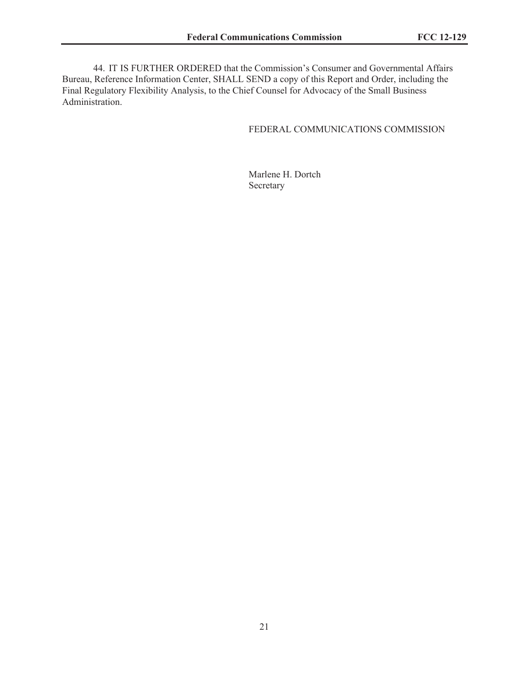44. IT IS FURTHER ORDERED that the Commission's Consumer and Governmental Affairs Bureau, Reference Information Center, SHALL SEND a copy of this Report and Order, including the Final Regulatory Flexibility Analysis, to the Chief Counsel for Advocacy of the Small Business Administration.

## FEDERAL COMMUNICATIONS COMMISSION

Marlene H. Dortch Secretary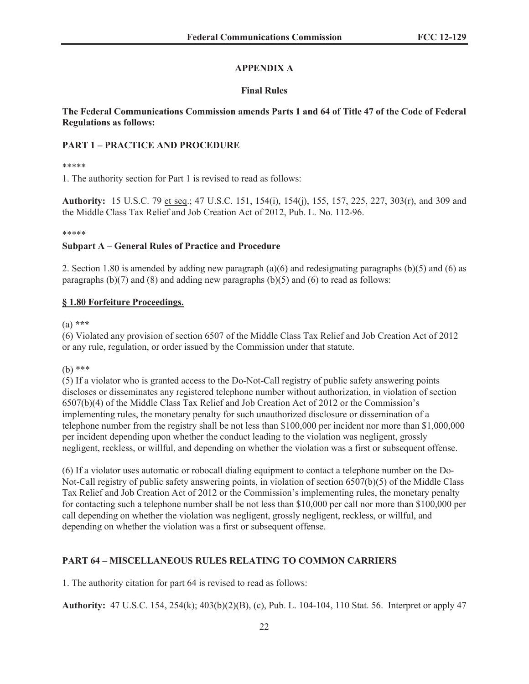# **APPENDIX A**

# **Final Rules**

# **The Federal Communications Commission amends Parts 1 and 64 of Title 47 of the Code of Federal Regulations as follows:**

# **PART 1 – PRACTICE AND PROCEDURE**

## \*\*\*\*\*

1. The authority section for Part 1 is revised to read as follows:

**Authority:** 15 U.S.C. 79 et seq.; 47 U.S.C. 151, 154(i), 154(j), 155, 157, 225, 227, 303(r), and 309 and the Middle Class Tax Relief and Job Creation Act of 2012, Pub. L. No. 112-96.

#### \*\*\*\*\*

## **Subpart A – General Rules of Practice and Procedure**

2. Section 1.80 is amended by adding new paragraph (a)(6) and redesignating paragraphs (b)(5) and (6) as paragraphs  $(b)(7)$  and  $(8)$  and adding new paragraphs  $(b)(5)$  and  $(6)$  to read as follows:

## **§ 1.80 Forfeiture Proceedings.**

## (a) **\*\*\***

(6) Violated any provision of section 6507 of the Middle Class Tax Relief and Job Creation Act of 2012 or any rule, regulation, or order issued by the Commission under that statute.

# (b) \*\*\*

(5) If a violator who is granted access to the Do-Not-Call registry of public safety answering points discloses or disseminates any registered telephone number without authorization, in violation of section 6507(b)(4) of the Middle Class Tax Relief and Job Creation Act of 2012 or the Commission's implementing rules, the monetary penalty for such unauthorized disclosure or dissemination of a telephone number from the registry shall be not less than \$100,000 per incident nor more than \$1,000,000 per incident depending upon whether the conduct leading to the violation was negligent, grossly negligent, reckless, or willful, and depending on whether the violation was a first or subsequent offense.

(6) If a violator uses automatic or robocall dialing equipment to contact a telephone number on the Do-Not-Call registry of public safety answering points, in violation of section 6507(b)(5) of the Middle Class Tax Relief and Job Creation Act of 2012 or the Commission's implementing rules, the monetary penalty for contacting such a telephone number shall be not less than \$10,000 per call nor more than \$100,000 per call depending on whether the violation was negligent, grossly negligent, reckless, or willful, and depending on whether the violation was a first or subsequent offense.

# **PART 64 – MISCELLANEOUS RULES RELATING TO COMMON CARRIERS**

1. The authority citation for part 64 is revised to read as follows:

**Authority:** 47 U.S.C. 154, 254(k); 403(b)(2)(B), (c), Pub. L. 104-104, 110 Stat. 56. Interpret or apply 47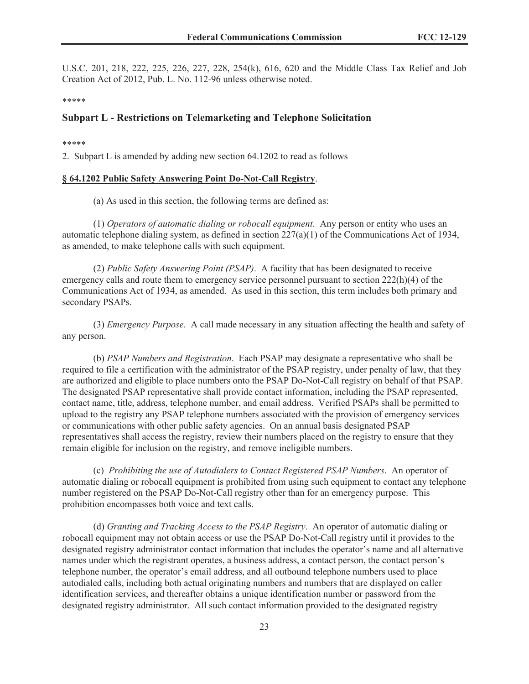U.S.C. 201, 218, 222, 225, 226, 227, 228, 254(k), 616, 620 and the Middle Class Tax Relief and Job Creation Act of 2012, Pub. L. No. 112-96 unless otherwise noted.

\*\*\*\*\*

## **Subpart L - Restrictions on Telemarketing and Telephone Solicitation**

\*\*\*\*\*

2. Subpart L is amended by adding new section 64.1202 to read as follows

#### **§ 64.1202 Public Safety Answering Point Do-Not-Call Registry**.

(a) As used in this section, the following terms are defined as:

(1) *Operators of automatic dialing or robocall equipment*. Any person or entity who uses an automatic telephone dialing system, as defined in section  $227(a)(1)$  of the Communications Act of 1934, as amended, to make telephone calls with such equipment.

(2) *Public Safety Answering Point (PSAP)*. A facility that has been designated to receive emergency calls and route them to emergency service personnel pursuant to section 222(h)(4) of the Communications Act of 1934, as amended. As used in this section, this term includes both primary and secondary PSAPs.

(3) *Emergency Purpose*. A call made necessary in any situation affecting the health and safety of any person.

(b) *PSAP Numbers and Registration*. Each PSAP may designate a representative who shall be required to file a certification with the administrator of the PSAP registry, under penalty of law, that they are authorized and eligible to place numbers onto the PSAP Do-Not-Call registry on behalf of that PSAP. The designated PSAP representative shall provide contact information, including the PSAP represented, contact name, title, address, telephone number, and email address. Verified PSAPs shall be permitted to upload to the registry any PSAP telephone numbers associated with the provision of emergency services or communications with other public safety agencies. On an annual basis designated PSAP representatives shall access the registry, review their numbers placed on the registry to ensure that they remain eligible for inclusion on the registry, and remove ineligible numbers.

(c) *Prohibiting the use of Autodialers to Contact Registered PSAP Numbers*. An operator of automatic dialing or robocall equipment is prohibited from using such equipment to contact any telephone number registered on the PSAP Do-Not-Call registry other than for an emergency purpose. This prohibition encompasses both voice and text calls.

(d) *Granting and Tracking Access to the PSAP Registry*. An operator of automatic dialing or robocall equipment may not obtain access or use the PSAP Do-Not-Call registry until it provides to the designated registry administrator contact information that includes the operator's name and all alternative names under which the registrant operates, a business address, a contact person, the contact person's telephone number, the operator's email address, and all outbound telephone numbers used to place autodialed calls, including both actual originating numbers and numbers that are displayed on caller identification services, and thereafter obtains a unique identification number or password from the designated registry administrator. All such contact information provided to the designated registry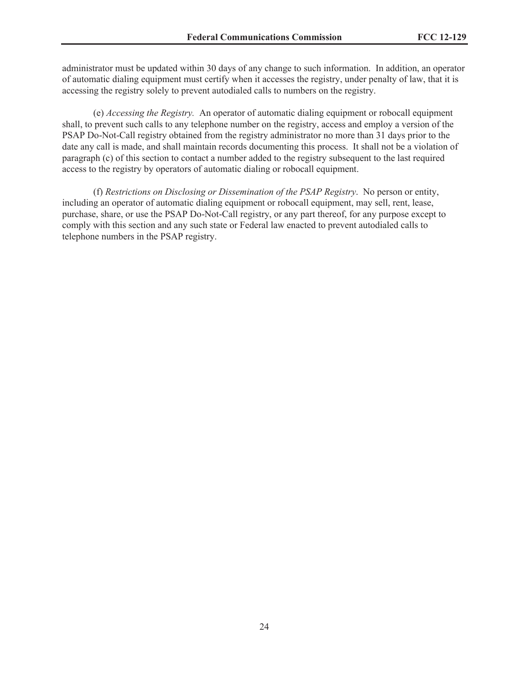administrator must be updated within 30 days of any change to such information. In addition, an operator of automatic dialing equipment must certify when it accesses the registry, under penalty of law, that it is accessing the registry solely to prevent autodialed calls to numbers on the registry.

(e) *Accessing the Registry.* An operator of automatic dialing equipment or robocall equipment shall, to prevent such calls to any telephone number on the registry, access and employ a version of the PSAP Do-Not-Call registry obtained from the registry administrator no more than 31 days prior to the date any call is made, and shall maintain records documenting this process. It shall not be a violation of paragraph (c) of this section to contact a number added to the registry subsequent to the last required access to the registry by operators of automatic dialing or robocall equipment.

(f) *Restrictions on Disclosing or Dissemination of the PSAP Registry*. No person or entity, including an operator of automatic dialing equipment or robocall equipment, may sell, rent, lease, purchase, share, or use the PSAP Do-Not-Call registry, or any part thereof, for any purpose except to comply with this section and any such state or Federal law enacted to prevent autodialed calls to telephone numbers in the PSAP registry.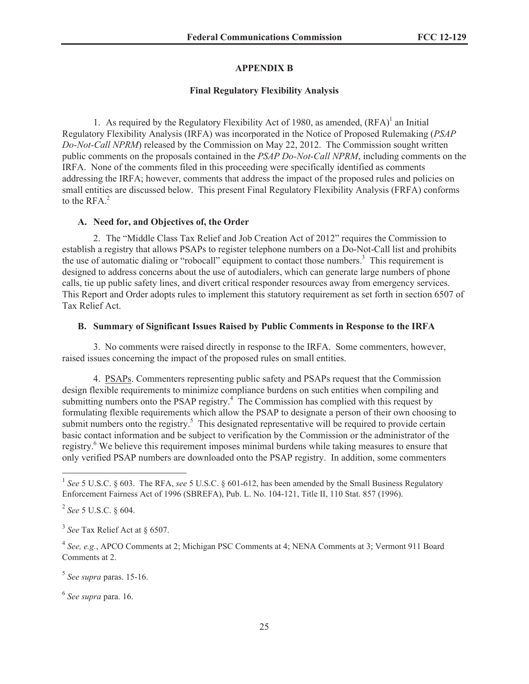## **APPENDIX B**

#### **Final Regulatory Flexibility Analysis**

1. As required by the Regulatory Flexibility Act of 1980, as amended,  $(RFA)^{1}$  an Initial Regulatory Flexibility Analysis (IRFA) was incorporated in the Notice of Proposed Rulemaking (*PSAP Do-Not-Call NPRM*) released by the Commission on May 22, 2012. The Commission sought written public comments on the proposals contained in the *PSAP Do-Not-Call NPRM*, including comments on the IRFA. None of the comments filed in this proceeding were specifically identified as comments addressing the IRFA; however, comments that address the impact of the proposed rules and policies on small entities are discussed below. This present Final Regulatory Flexibility Analysis (FRFA) conforms to the  $RFA.<sup>2</sup>$ 

#### **A. Need for, and Objectives of, the Order**

2. The "Middle Class Tax Relief and Job Creation Act of 2012" requires the Commission to establish a registry that allows PSAPs to register telephone numbers on a Do-Not-Call list and prohibits the use of automatic dialing or "robocall" equipment to contact those numbers.<sup>3</sup> This requirement is designed to address concerns about the use of autodialers, which can generate large numbers of phone calls, tie up public safety lines, and divert critical responder resources away from emergency services. This Report and Order adopts rules to implement this statutory requirement as set forth in section 6507 of Tax Relief Act.

#### **B. Summary of Significant Issues Raised by Public Comments in Response to the IRFA**

3. No comments were raised directly in response to the IRFA. Some commenters, however, raised issues concerning the impact of the proposed rules on small entities.

4. PSAPs. Commenters representing public safety and PSAPs request that the Commission design flexible requirements to minimize compliance burdens on such entities when compiling and submitting numbers onto the PSAP registry.<sup>4</sup> The Commission has complied with this request by formulating flexible requirements which allow the PSAP to designate a person of their own choosing to submit numbers onto the registry.<sup>5</sup> This designated representative will be required to provide certain basic contact information and be subject to verification by the Commission or the administrator of the registry.<sup>6</sup> We believe this requirement imposes minimal burdens while taking measures to ensure that only verified PSAP numbers are downloaded onto the PSAP registry. In addition, some commenters

<sup>&</sup>lt;sup>1</sup> See 5 U.S.C. § 603. The RFA, see 5 U.S.C. § 601-612, has been amended by the Small Business Regulatory Enforcement Fairness Act of 1996 (SBREFA), Pub. L. No. 104-121, Title II, 110 Stat. 857 (1996).

<sup>2</sup> *See* 5 U.S.C. § 604.

<sup>3</sup> *See* Tax Relief Act at § 6507.

<sup>4</sup> *See, e.g.*, APCO Comments at 2; Michigan PSC Comments at 4; NENA Comments at 3; Vermont 911 Board Comments at 2.

<sup>5</sup> *See supra* paras. 15-16.

<sup>6</sup> *See supra* para. 16.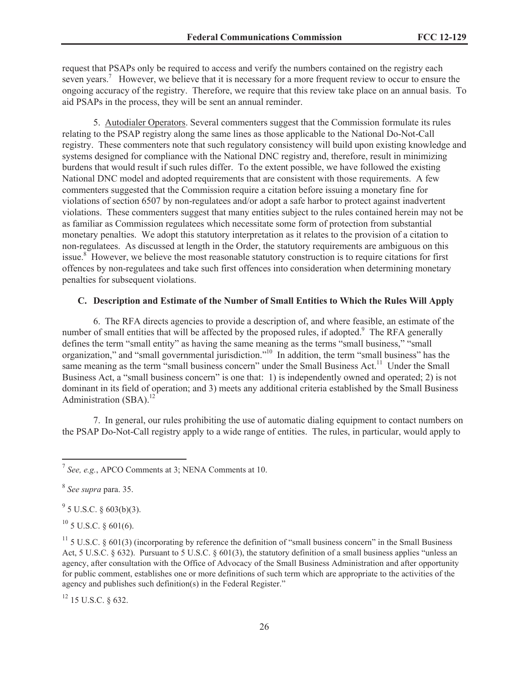request that PSAPs only be required to access and verify the numbers contained on the registry each seven years.<sup>7</sup> However, we believe that it is necessary for a more frequent review to occur to ensure the ongoing accuracy of the registry. Therefore, we require that this review take place on an annual basis. To aid PSAPs in the process, they will be sent an annual reminder.

5. Autodialer Operators. Several commenters suggest that the Commission formulate its rules relating to the PSAP registry along the same lines as those applicable to the National Do-Not-Call registry. These commenters note that such regulatory consistency will build upon existing knowledge and systems designed for compliance with the National DNC registry and, therefore, result in minimizing burdens that would result if such rules differ. To the extent possible, we have followed the existing National DNC model and adopted requirements that are consistent with those requirements. A few commenters suggested that the Commission require a citation before issuing a monetary fine for violations of section 6507 by non-regulatees and/or adopt a safe harbor to protect against inadvertent violations. These commenters suggest that many entities subject to the rules contained herein may not be as familiar as Commission regulatees which necessitate some form of protection from substantial monetary penalties. We adopt this statutory interpretation as it relates to the provision of a citation to non-regulatees. As discussed at length in the Order, the statutory requirements are ambiguous on this issue.<sup>8</sup> However, we believe the most reasonable statutory construction is to require citations for first offences by non-regulatees and take such first offences into consideration when determining monetary penalties for subsequent violations.

## **C. Description and Estimate of the Number of Small Entities to Which the Rules Will Apply**

6. The RFA directs agencies to provide a description of, and where feasible, an estimate of the number of small entities that will be affected by the proposed rules, if adopted.<sup>9</sup> The RFA generally defines the term "small entity" as having the same meaning as the terms "small business," "small organization," and "small governmental jurisdiction."<sup>10</sup> In addition, the term "small business" has the same meaning as the term "small business concern" under the Small Business Act.<sup>11</sup> Under the Small Business Act, a "small business concern" is one that: 1) is independently owned and operated; 2) is not dominant in its field of operation; and 3) meets any additional criteria established by the Small Business Administration  $(SBA).$ <sup>12</sup>

7. In general, our rules prohibiting the use of automatic dialing equipment to contact numbers on the PSAP Do-Not-Call registry apply to a wide range of entities. The rules, in particular, would apply to

 $9^9$  5 U.S.C. § 603(b)(3).

 $^{10}$  5 U.S.C. § 601(6).

<sup>12</sup> 15 U.S.C. § 632.

<sup>7</sup> *See, e.g.*, APCO Comments at 3; NENA Comments at 10.

<sup>8</sup> *See supra* para. 35.

 $11$  5 U.S.C. § 601(3) (incorporating by reference the definition of "small business concern" in the Small Business Act, 5 U.S.C. § 632). Pursuant to 5 U.S.C. § 601(3), the statutory definition of a small business applies "unless an agency, after consultation with the Office of Advocacy of the Small Business Administration and after opportunity for public comment, establishes one or more definitions of such term which are appropriate to the activities of the agency and publishes such definition(s) in the Federal Register."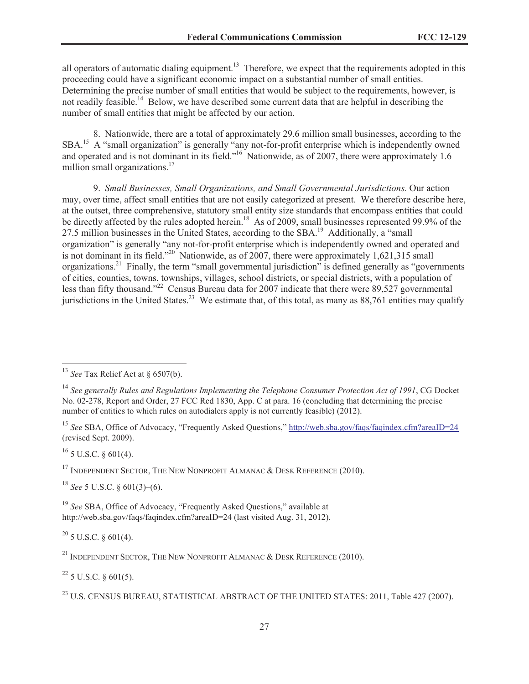all operators of automatic dialing equipment.<sup>13</sup> Therefore, we expect that the requirements adopted in this proceeding could have a significant economic impact on a substantial number of small entities. Determining the precise number of small entities that would be subject to the requirements, however, is not readily feasible.<sup>14</sup> Below, we have described some current data that are helpful in describing the number of small entities that might be affected by our action.

8. Nationwide, there are a total of approximately 29.6 million small businesses, according to the SBA.<sup>15</sup> A "small organization" is generally "any not-for-profit enterprise which is independently owned and operated and is not dominant in its field."<sup>16</sup> Nationwide, as of 2007, there were approximately 1.6 million small organizations.<sup>17</sup>

9. *Small Businesses, Small Organizations, and Small Governmental Jurisdictions.* Our action may, over time, affect small entities that are not easily categorized at present. We therefore describe here, at the outset, three comprehensive, statutory small entity size standards that encompass entities that could be directly affected by the rules adopted herein.<sup>18</sup> As of 2009, small businesses represented 99.9% of the 27.5 million businesses in the United States, according to the SBA.<sup>19</sup> Additionally, a "small" organization" is generally "any not-for-profit enterprise which is independently owned and operated and is not dominant in its field."<sup>20</sup> Nationwide, as of 2007, there were approximately 1,621,315 small organizations.<sup>21</sup> Finally, the term "small governmental jurisdiction" is defined generally as "governments of cities, counties, towns, townships, villages, school districts, or special districts, with a population of less than fifty thousand."<sup>22</sup> Census Bureau data for 2007 indicate that there were 89,527 governmental jurisdictions in the United States.<sup>23</sup> We estimate that, of this total, as many as  $88,761$  entities may qualify

 $^{16}$  5 U.S.C. § 601(4).

<sup>17</sup> INDEPENDENT SECTOR, THE NEW NONPROFIT ALMANAC  $\&$  DESK REFERENCE (2010).

<sup>18</sup> *See* 5 U.S.C. § 601(3)–(6).

<sup>19</sup> See SBA, Office of Advocacy, "Frequently Asked Questions," available at http://web.sba.gov/faqs/faqindex.cfm?areaID=24 (last visited Aug. 31, 2012).

 $20$  5 U.S.C. § 601(4).

<sup>21</sup> INDEPENDENT SECTOR, THE NEW NONPROFIT ALMANAC  $\&$  DESK REFERENCE (2010).

 $^{22}$  5 U.S.C. § 601(5).

<sup>13</sup> *See* Tax Relief Act at § 6507(b).

<sup>14</sup> *See generally Rules and Regulations Implementing the Telephone Consumer Protection Act of 1991*, CG Docket No. 02-278, Report and Order, 27 FCC Rcd 1830, App. C at para. 16 (concluding that determining the precise number of entities to which rules on autodialers apply is not currently feasible) (2012).

<sup>&</sup>lt;sup>15</sup> See SBA, Office of Advocacy, "Frequently Asked Questions," http://web.sba.gov/faqs/faqindex.cfm?areaID=24 (revised Sept. 2009).

<sup>&</sup>lt;sup>23</sup> U.S. CENSUS BUREAU, STATISTICAL ABSTRACT OF THE UNITED STATES: 2011, Table 427 (2007).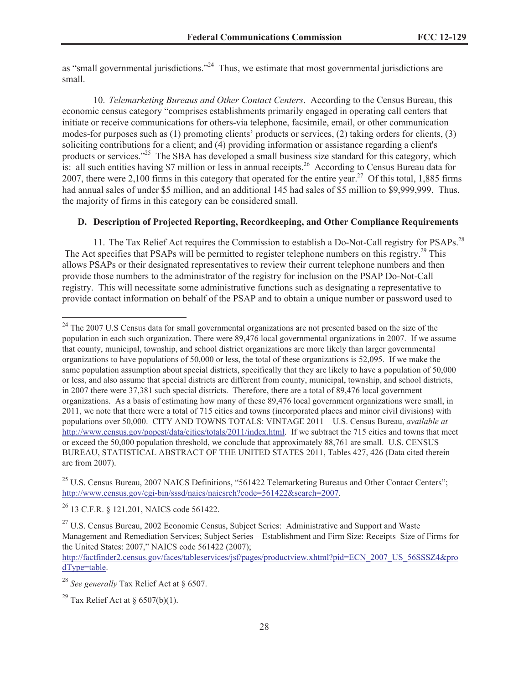as "small governmental jurisdictions."<sup>24</sup> Thus, we estimate that most governmental jurisdictions are small.

10. *Telemarketing Bureaus and Other Contact Centers*. According to the Census Bureau, this economic census category "comprises establishments primarily engaged in operating call centers that initiate or receive communications for others-via telephone, facsimile, email, or other communication modes-for purposes such as (1) promoting clients' products or services, (2) taking orders for clients, (3) soliciting contributions for a client; and (4) providing information or assistance regarding a client's products or services."<sup>25</sup> The SBA has developed a small business size standard for this category, which is: all such entities having \$7 million or less in annual receipts.<sup>26</sup> According to Census Bureau data for 2007, there were 2,100 firms in this category that operated for the entire year.<sup>27</sup> Of this total, 1,885 firms had annual sales of under \$5 million, and an additional 145 had sales of \$5 million to \$9,999,999. Thus, the majority of firms in this category can be considered small.

## **D. Description of Projected Reporting, Recordkeeping, and Other Compliance Requirements**

11. The Tax Relief Act requires the Commission to establish a Do-Not-Call registry for PSAPs.<sup>28</sup> The Act specifies that PSAPs will be permitted to register telephone numbers on this registry.<sup>29</sup> This allows PSAPs or their designated representatives to review their current telephone numbers and then provide those numbers to the administrator of the registry for inclusion on the PSAP Do-Not-Call registry. This will necessitate some administrative functions such as designating a representative to provide contact information on behalf of the PSAP and to obtain a unique number or password used to

<sup>26</sup> 13 C.F.R. § 121.201, NAICS code 561422.

 $^{24}$  The 2007 U.S Census data for small governmental organizations are not presented based on the size of the population in each such organization. There were 89,476 local governmental organizations in 2007. If we assume that county, municipal, township, and school district organizations are more likely than larger governmental organizations to have populations of 50,000 or less, the total of these organizations is 52,095. If we make the same population assumption about special districts, specifically that they are likely to have a population of 50,000 or less, and also assume that special districts are different from county, municipal, township, and school districts, in 2007 there were 37,381 such special districts. Therefore, there are a total of 89,476 local government organizations. As a basis of estimating how many of these 89,476 local government organizations were small, in 2011, we note that there were a total of 715 cities and towns (incorporated places and minor civil divisions) with populations over 50,000. CITY AND TOWNS TOTALS: VINTAGE 2011 – U.S. Census Bureau, *available at*  http://www.census.gov/popest/data/cities/totals/2011/index.html. If we subtract the 715 cities and towns that meet or exceed the 50,000 population threshold, we conclude that approximately 88,761 are small. U.S. CENSUS BUREAU, STATISTICAL ABSTRACT OF THE UNITED STATES 2011, Tables 427, 426 (Data cited therein are from 2007).

 $^{25}$  U.S. Census Bureau, 2007 NAICS Definitions, "561422 Telemarketing Bureaus and Other Contact Centers"; http://www.census.gov/cgi-bin/sssd/naics/naicsrch?code=561422&search=2007.

<sup>&</sup>lt;sup>27</sup> U.S. Census Bureau, 2002 Economic Census, Subject Series: Administrative and Support and Waste Management and Remediation Services; Subject Series – Establishment and Firm Size: Receipts Size of Firms for the United States: 2007," NAICS code 561422 (2007);

http://factfinder2.census.gov/faces/tableservices/jsf/pages/productview.xhtml?pid=ECN\_2007\_US\_56SSSZ4&pro dType=table.

<sup>28</sup> *See generally* Tax Relief Act at § 6507.

<sup>&</sup>lt;sup>29</sup> Tax Relief Act at  $\delta$  6507(b)(1).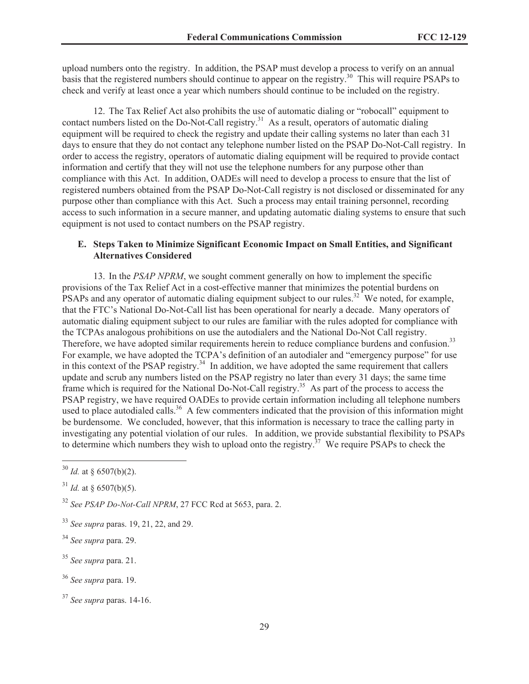upload numbers onto the registry. In addition, the PSAP must develop a process to verify on an annual basis that the registered numbers should continue to appear on the registry.<sup>30</sup> This will require PSAPs to check and verify at least once a year which numbers should continue to be included on the registry.

12. The Tax Relief Act also prohibits the use of automatic dialing or "robocall" equipment to contact numbers listed on the Do-Not-Call registry.<sup>31</sup> As a result, operators of automatic dialing equipment will be required to check the registry and update their calling systems no later than each 31 days to ensure that they do not contact any telephone number listed on the PSAP Do-Not-Call registry. In order to access the registry, operators of automatic dialing equipment will be required to provide contact information and certify that they will not use the telephone numbers for any purpose other than compliance with this Act. In addition, OADEs will need to develop a process to ensure that the list of registered numbers obtained from the PSAP Do-Not-Call registry is not disclosed or disseminated for any purpose other than compliance with this Act. Such a process may entail training personnel, recording access to such information in a secure manner, and updating automatic dialing systems to ensure that such equipment is not used to contact numbers on the PSAP registry.

# **E. Steps Taken to Minimize Significant Economic Impact on Small Entities, and Significant Alternatives Considered**

13. In the *PSAP NPRM*, we sought comment generally on how to implement the specific provisions of the Tax Relief Act in a cost-effective manner that minimizes the potential burdens on PSAPs and any operator of automatic dialing equipment subject to our rules.<sup>32</sup> We noted, for example, that the FTC's National Do-Not-Call list has been operational for nearly a decade. Many operators of automatic dialing equipment subject to our rules are familiar with the rules adopted for compliance with the TCPAs analogous prohibitions on use the autodialers and the National Do-Not Call registry. Therefore, we have adopted similar requirements herein to reduce compliance burdens and confusion.<sup>33</sup> For example, we have adopted the TCPA's definition of an autodialer and "emergency purpose" for use in this context of the PSAP registry. $34$  In addition, we have adopted the same requirement that callers update and scrub any numbers listed on the PSAP registry no later than every 31 days; the same time frame which is required for the National Do-Not-Call registry.<sup>35</sup> As part of the process to access the PSAP registry, we have required OADEs to provide certain information including all telephone numbers used to place autodialed calls.<sup>36</sup> A few commenters indicated that the provision of this information might be burdensome. We concluded, however, that this information is necessary to trace the calling party in investigating any potential violation of our rules. In addition, we provide substantial flexibility to PSAPs to determine which numbers they wish to upload onto the registry.<sup>37</sup> We require PSAPs to check the

 $30$  *Id.* at § 6507(b)(2).

 $31$  *Id.* at § 6507(b)(5).

<sup>32</sup> *See PSAP Do-Not-Call NPRM*, 27 FCC Rcd at 5653, para. 2.

<sup>33</sup> *See supra* paras. 19, 21, 22, and 29.

<sup>34</sup> *See supra* para. 29.

<sup>35</sup> *See supra* para. 21.

<sup>36</sup> *See supra* para. 19.

<sup>37</sup> *See supra* paras. 14-16.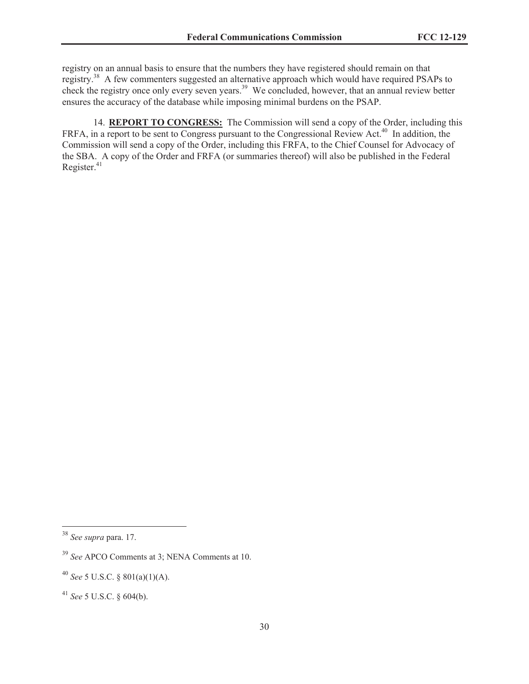registry on an annual basis to ensure that the numbers they have registered should remain on that registry.<sup>38</sup> A few commenters suggested an alternative approach which would have required PSAPs to check the registry once only every seven years.<sup>39</sup> We concluded, however, that an annual review better ensures the accuracy of the database while imposing minimal burdens on the PSAP.

14. **REPORT TO CONGRESS:** The Commission will send a copy of the Order, including this FRFA, in a report to be sent to Congress pursuant to the Congressional Review Act.<sup>40</sup> In addition, the Commission will send a copy of the Order, including this FRFA, to the Chief Counsel for Advocacy of the SBA. A copy of the Order and FRFA (or summaries thereof) will also be published in the Federal Register. $41$ 

<sup>38</sup> *See supra* para. 17.

<sup>39</sup> *See* APCO Comments at 3; NENA Comments at 10.

<sup>40</sup> *See* 5 U.S.C. § 801(a)(1)(A).

<sup>41</sup> *See* 5 U.S.C. § 604(b).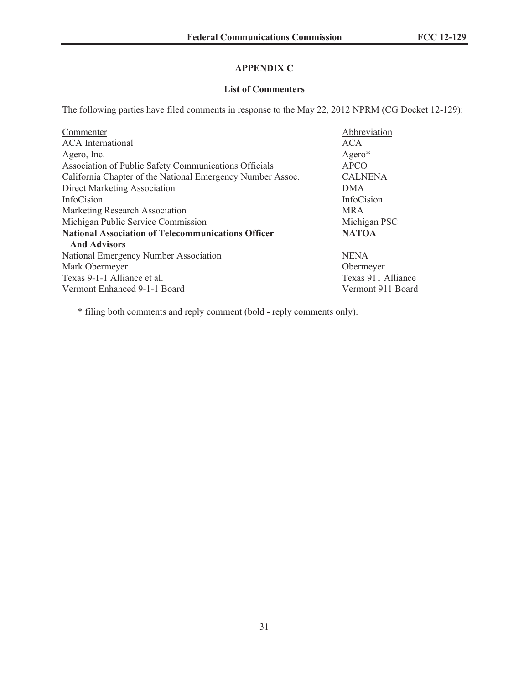# **APPENDIX C**

## **List of Commenters**

The following parties have filed comments in response to the May 22, 2012 NPRM (CG Docket 12-129):

| Commenter                                                  | Abbreviation       |
|------------------------------------------------------------|--------------------|
| <b>ACA</b> International                                   | <b>ACA</b>         |
| Agero, Inc.                                                | Agero*             |
| Association of Public Safety Communications Officials      | <b>APCO</b>        |
| California Chapter of the National Emergency Number Assoc. | <b>CALNENA</b>     |
| Direct Marketing Association                               | <b>DMA</b>         |
| InfoCision                                                 | InfoCision         |
| Marketing Research Association                             | <b>MRA</b>         |
| Michigan Public Service Commission                         | Michigan PSC       |
| <b>National Association of Telecommunications Officer</b>  | <b>NATOA</b>       |
| <b>And Advisors</b>                                        |                    |
| National Emergency Number Association                      | <b>NENA</b>        |
| Mark Obermeyer                                             | Obermeyer          |
| Texas 9-1-1 Alliance et al.                                | Texas 911 Alliance |
| Vermont Enhanced 9-1-1 Board                               | Vermont 911 Board  |

\* filing both comments and reply comment (bold - reply comments only).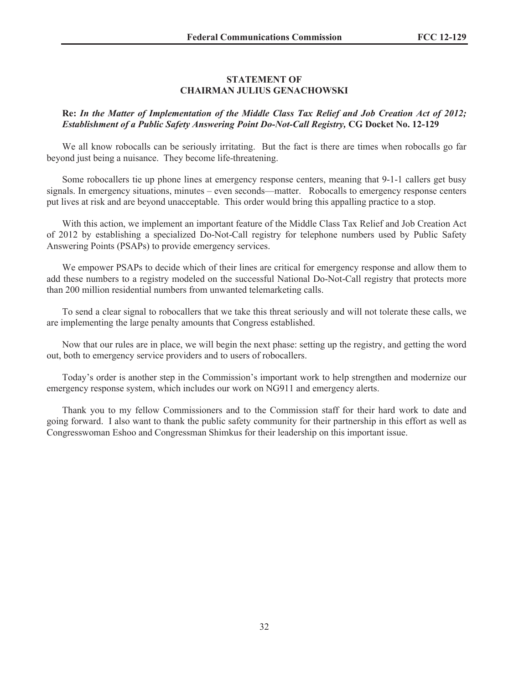## **STATEMENT OF CHAIRMAN JULIUS GENACHOWSKI**

## **Re:** *In the Matter of Implementation of the Middle Class Tax Relief and Job Creation Act of 2012; Establishment of a Public Safety Answering Point Do-Not-Call Registry,* **CG Docket No. 12-129**

We all know robocalls can be seriously irritating. But the fact is there are times when robocalls go far beyond just being a nuisance. They become life-threatening.

Some robocallers tie up phone lines at emergency response centers, meaning that 9-1-1 callers get busy signals. In emergency situations, minutes – even seconds—matter. Robocalls to emergency response centers put lives at risk and are beyond unacceptable. This order would bring this appalling practice to a stop.

With this action, we implement an important feature of the Middle Class Tax Relief and Job Creation Act of 2012 by establishing a specialized Do-Not-Call registry for telephone numbers used by Public Safety Answering Points (PSAPs) to provide emergency services.

We empower PSAPs to decide which of their lines are critical for emergency response and allow them to add these numbers to a registry modeled on the successful National Do-Not-Call registry that protects more than 200 million residential numbers from unwanted telemarketing calls.

To send a clear signal to robocallers that we take this threat seriously and will not tolerate these calls, we are implementing the large penalty amounts that Congress established.

Now that our rules are in place, we will begin the next phase: setting up the registry, and getting the word out, both to emergency service providers and to users of robocallers.

Today's order is another step in the Commission's important work to help strengthen and modernize our emergency response system, which includes our work on NG911 and emergency alerts.

Thank you to my fellow Commissioners and to the Commission staff for their hard work to date and going forward. I also want to thank the public safety community for their partnership in this effort as well as Congresswoman Eshoo and Congressman Shimkus for their leadership on this important issue.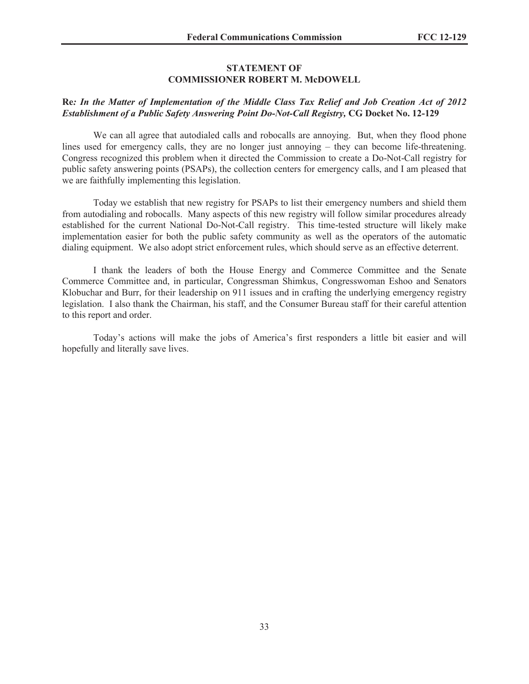#### **STATEMENT OF COMMISSIONER ROBERT M. McDOWELL**

## **Re***: In the Matter of Implementation of the Middle Class Tax Relief and Job Creation Act of 2012 Establishment of a Public Safety Answering Point Do-Not-Call Registry,* **CG Docket No. 12-129**

We can all agree that autodialed calls and robocalls are annoying. But, when they flood phone lines used for emergency calls, they are no longer just annoying – they can become life-threatening. Congress recognized this problem when it directed the Commission to create a Do-Not-Call registry for public safety answering points (PSAPs), the collection centers for emergency calls, and I am pleased that we are faithfully implementing this legislation.

Today we establish that new registry for PSAPs to list their emergency numbers and shield them from autodialing and robocalls. Many aspects of this new registry will follow similar procedures already established for the current National Do-Not-Call registry. This time-tested structure will likely make implementation easier for both the public safety community as well as the operators of the automatic dialing equipment. We also adopt strict enforcement rules, which should serve as an effective deterrent.

I thank the leaders of both the House Energy and Commerce Committee and the Senate Commerce Committee and, in particular, Congressman Shimkus, Congresswoman Eshoo and Senators Klobuchar and Burr, for their leadership on 911 issues and in crafting the underlying emergency registry legislation. I also thank the Chairman, his staff, and the Consumer Bureau staff for their careful attention to this report and order.

Today's actions will make the jobs of America's first responders a little bit easier and will hopefully and literally save lives.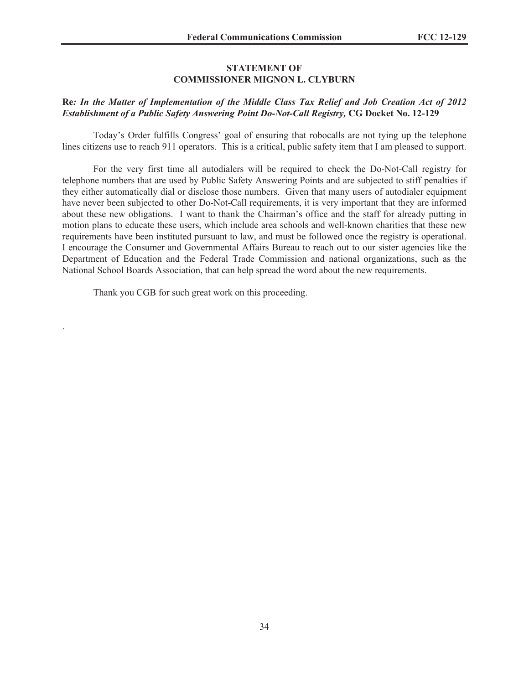## **STATEMENT OF COMMISSIONER MIGNON L. CLYBURN**

# **Re***: In the Matter of Implementation of the Middle Class Tax Relief and Job Creation Act of 2012 Establishment of a Public Safety Answering Point Do-Not-Call Registry,* **CG Docket No. 12-129**

Today's Order fulfills Congress' goal of ensuring that robocalls are not tying up the telephone lines citizens use to reach 911 operators. This is a critical, public safety item that I am pleased to support.

For the very first time all autodialers will be required to check the Do-Not-Call registry for telephone numbers that are used by Public Safety Answering Points and are subjected to stiff penalties if they either automatically dial or disclose those numbers. Given that many users of autodialer equipment have never been subjected to other Do-Not-Call requirements, it is very important that they are informed about these new obligations. I want to thank the Chairman's office and the staff for already putting in motion plans to educate these users, which include area schools and well-known charities that these new requirements have been instituted pursuant to law, and must be followed once the registry is operational. I encourage the Consumer and Governmental Affairs Bureau to reach out to our sister agencies like the Department of Education and the Federal Trade Commission and national organizations, such as the National School Boards Association, that can help spread the word about the new requirements.

Thank you CGB for such great work on this proceeding.

.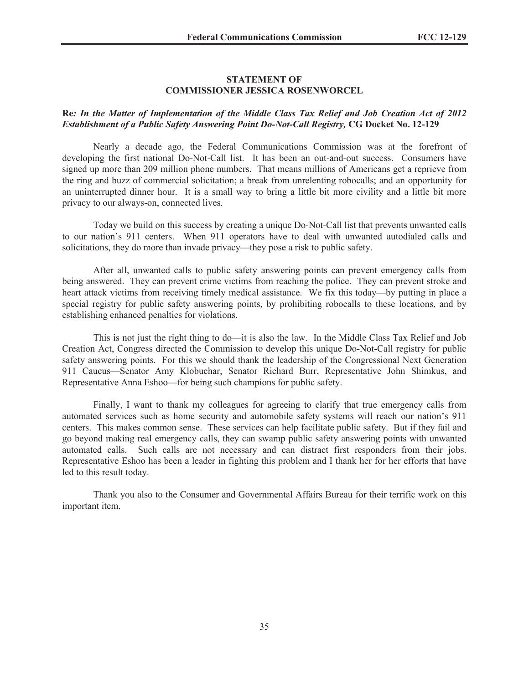## **STATEMENT OF COMMISSIONER JESSICA ROSENWORCEL**

## **Re***: In the Matter of Implementation of the Middle Class Tax Relief and Job Creation Act of 2012 Establishment of a Public Safety Answering Point Do-Not-Call Registry,* **CG Docket No. 12-129**

Nearly a decade ago, the Federal Communications Commission was at the forefront of developing the first national Do-Not-Call list. It has been an out-and-out success. Consumers have signed up more than 209 million phone numbers. That means millions of Americans get a reprieve from the ring and buzz of commercial solicitation; a break from unrelenting robocalls; and an opportunity for an uninterrupted dinner hour. It is a small way to bring a little bit more civility and a little bit more privacy to our always-on, connected lives.

Today we build on this success by creating a unique Do-Not-Call list that prevents unwanted calls to our nation's 911 centers. When 911 operators have to deal with unwanted autodialed calls and solicitations, they do more than invade privacy—they pose a risk to public safety.

After all, unwanted calls to public safety answering points can prevent emergency calls from being answered. They can prevent crime victims from reaching the police. They can prevent stroke and heart attack victims from receiving timely medical assistance. We fix this today—by putting in place a special registry for public safety answering points, by prohibiting robocalls to these locations, and by establishing enhanced penalties for violations.

This is not just the right thing to do—it is also the law. In the Middle Class Tax Relief and Job Creation Act, Congress directed the Commission to develop this unique Do-Not-Call registry for public safety answering points. For this we should thank the leadership of the Congressional Next Generation 911 Caucus—Senator Amy Klobuchar, Senator Richard Burr, Representative John Shimkus, and Representative Anna Eshoo—for being such champions for public safety.

Finally, I want to thank my colleagues for agreeing to clarify that true emergency calls from automated services such as home security and automobile safety systems will reach our nation's 911 centers. This makes common sense. These services can help facilitate public safety. But if they fail and go beyond making real emergency calls, they can swamp public safety answering points with unwanted automated calls. Such calls are not necessary and can distract first responders from their jobs. Representative Eshoo has been a leader in fighting this problem and I thank her for her efforts that have led to this result today.

Thank you also to the Consumer and Governmental Affairs Bureau for their terrific work on this important item.